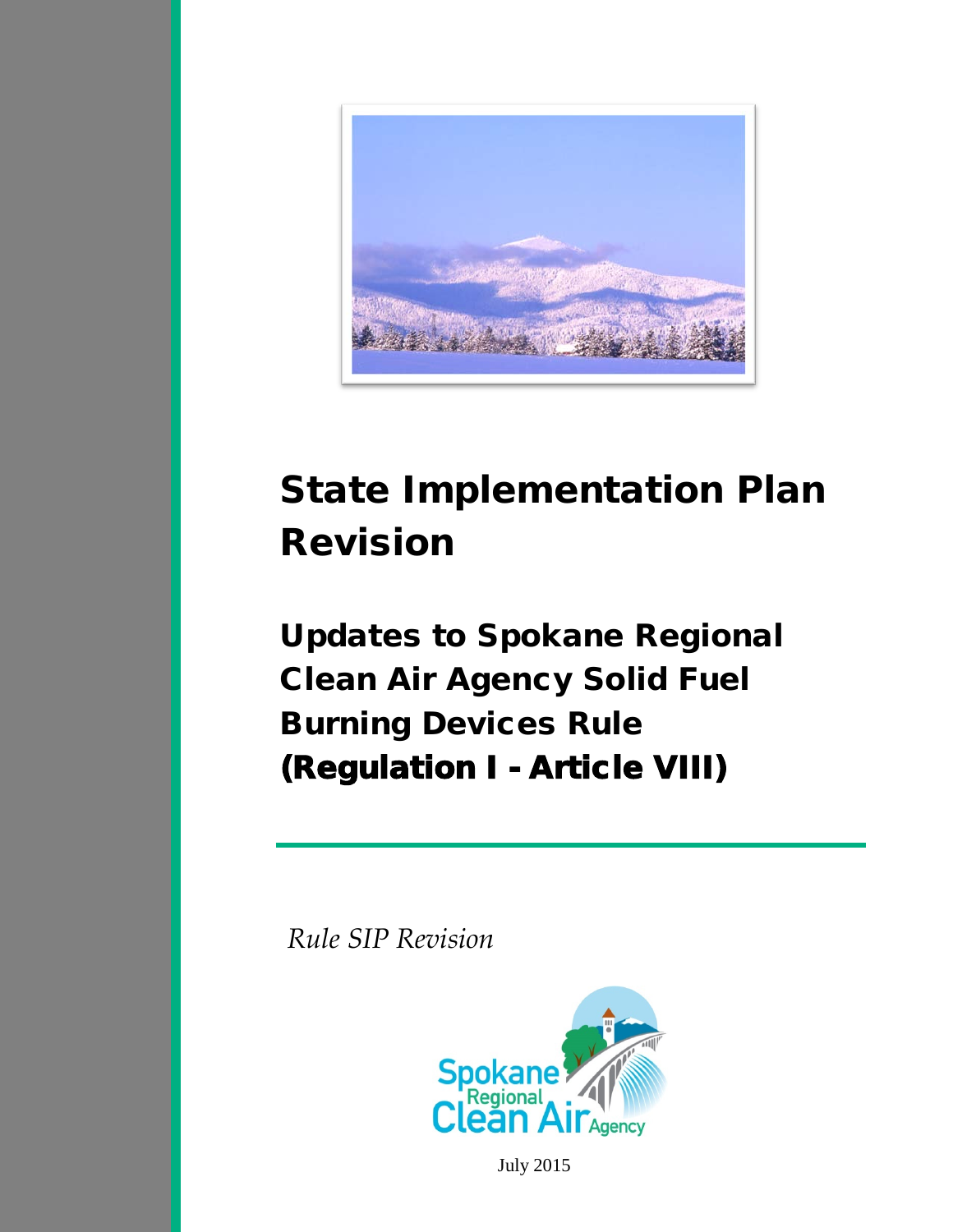

# State Implementation Plan Revision

Updates to Spokane Regional Clean Air Agency Solid Fuel Burning Devices Rule (Regulation I - Article VIII)

*Rule SIP Revision*



July 2015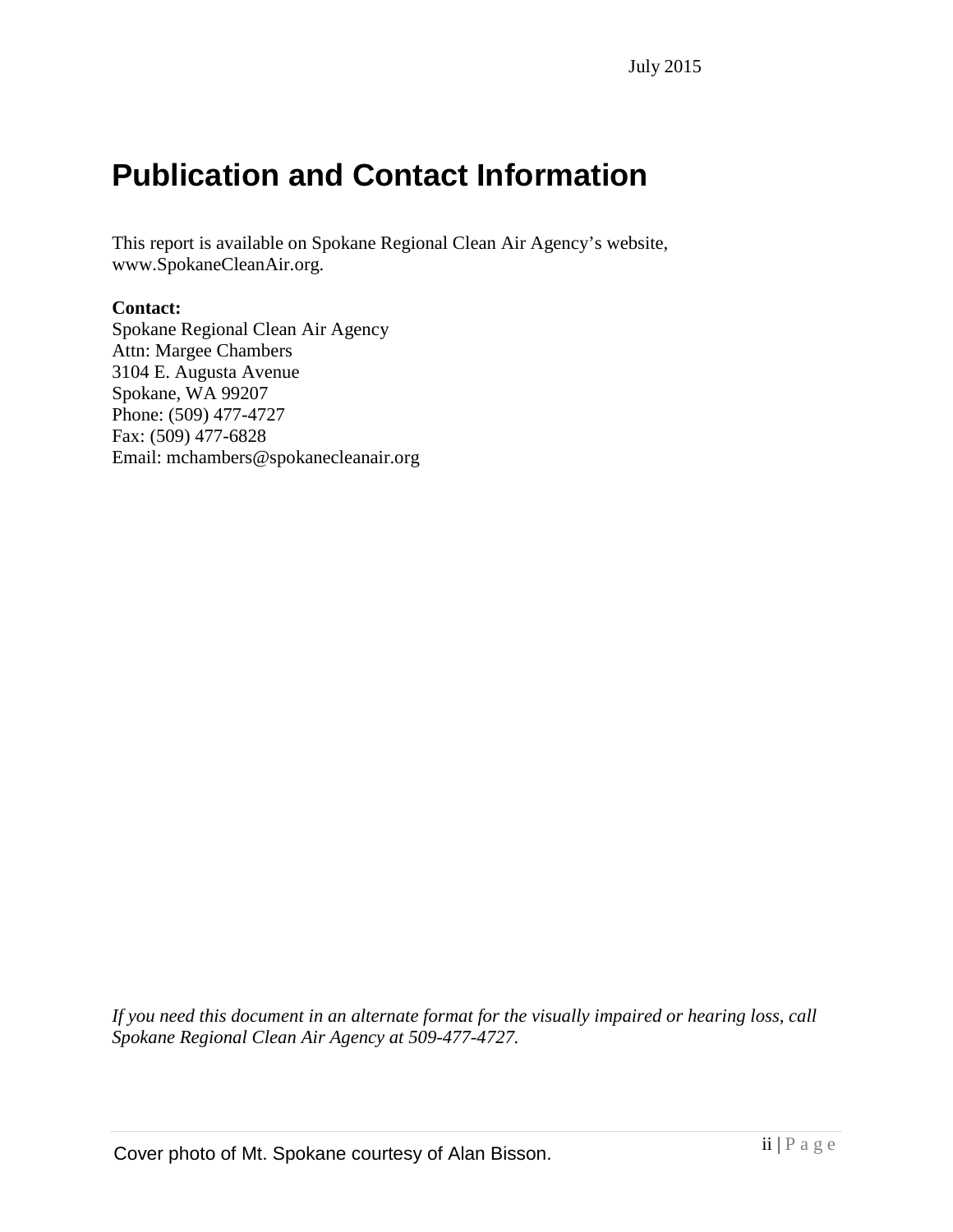# **Publication and Contact Information**

This report is available on Spokane Regional Clean Air Agency's website, www.SpokaneCleanAir.org.

### **Contact:**

Spokane Regional Clean Air Agency Attn: Margee Chambers 3104 E. Augusta Avenue Spokane, WA 99207 Phone: (509) 477-4727 Fax: (509) 477-6828 Email: mchambers@spokanecleanair.org

*If you need this document in an alternate format for the visually impaired or hearing loss, call Spokane Regional Clean Air Agency at 509-477-4727.*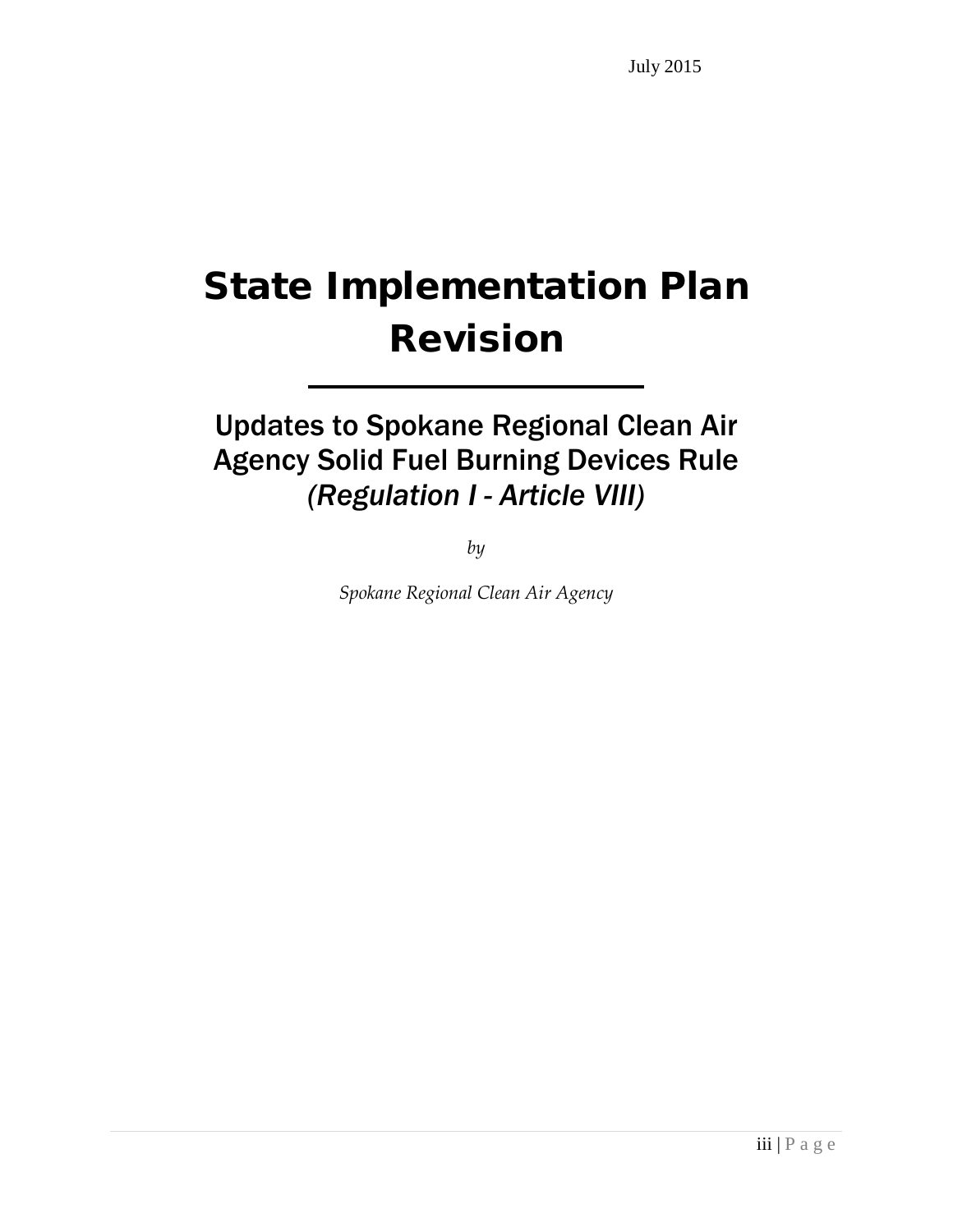# State Implementation Plan Revision

# Updates to Spokane Regional Clean Air Agency Solid Fuel Burning Devices Rule *(Regulation I - Article VIII)*

*by*

*Spokane Regional Clean Air Agency*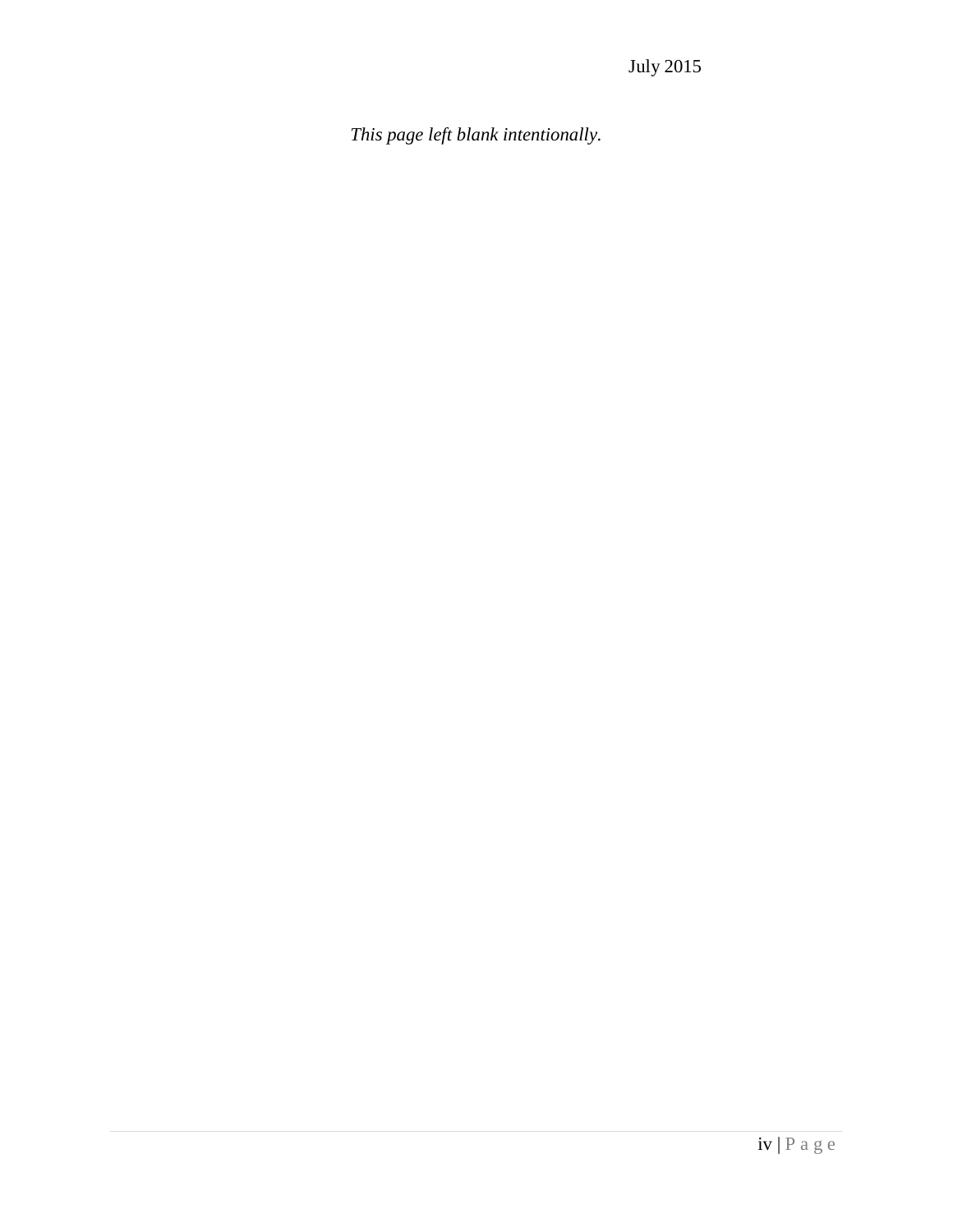*This page left blank intentionally.*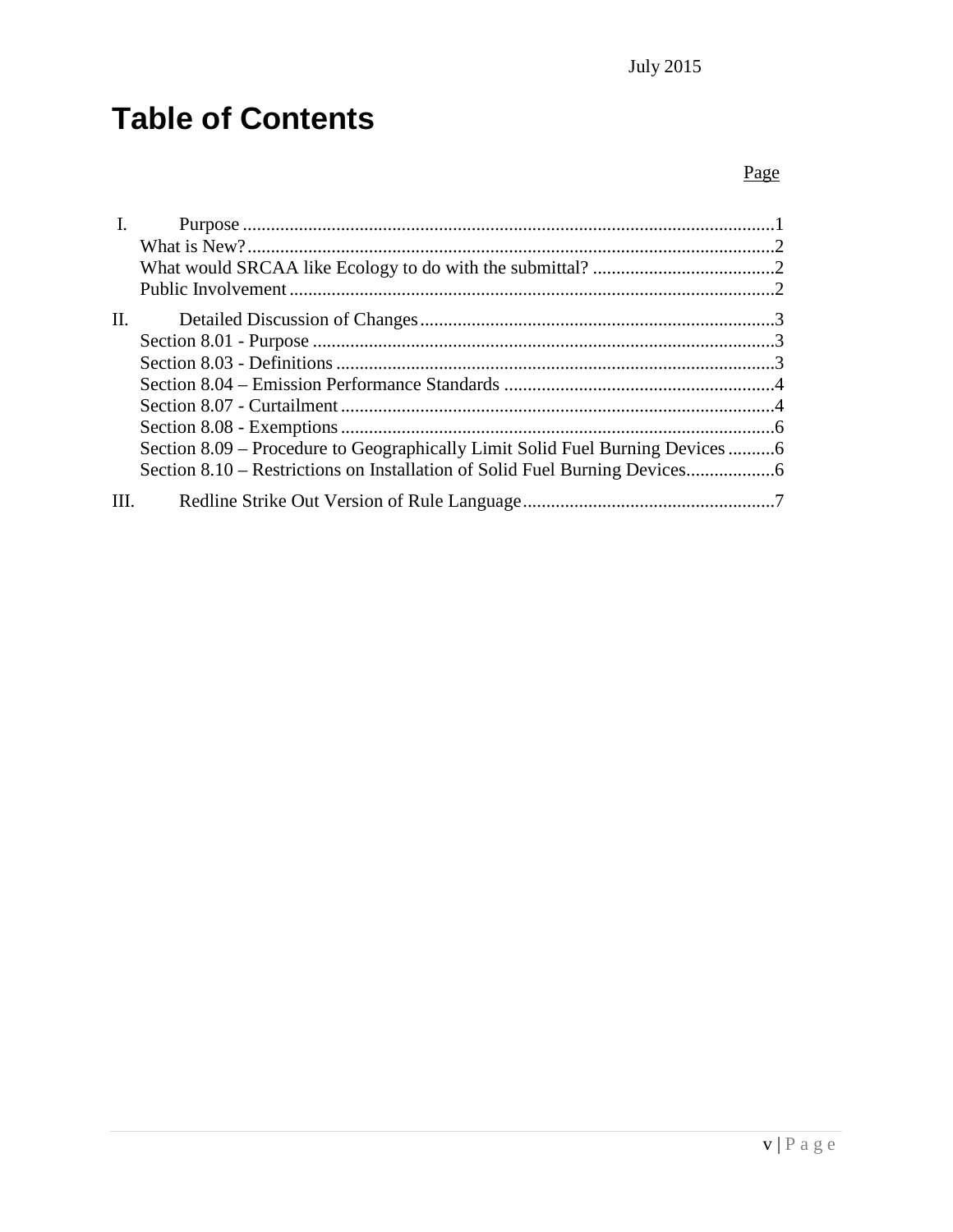# **Table of Contents**

### Page

| $\mathbf{I}$ . |                                                                               |  |
|----------------|-------------------------------------------------------------------------------|--|
|                |                                                                               |  |
|                |                                                                               |  |
|                |                                                                               |  |
| H.             |                                                                               |  |
|                |                                                                               |  |
|                |                                                                               |  |
|                |                                                                               |  |
|                |                                                                               |  |
|                |                                                                               |  |
|                | Section 8.09 – Procedure to Geographically Limit Solid Fuel Burning Devices 6 |  |
|                |                                                                               |  |
| HI.            |                                                                               |  |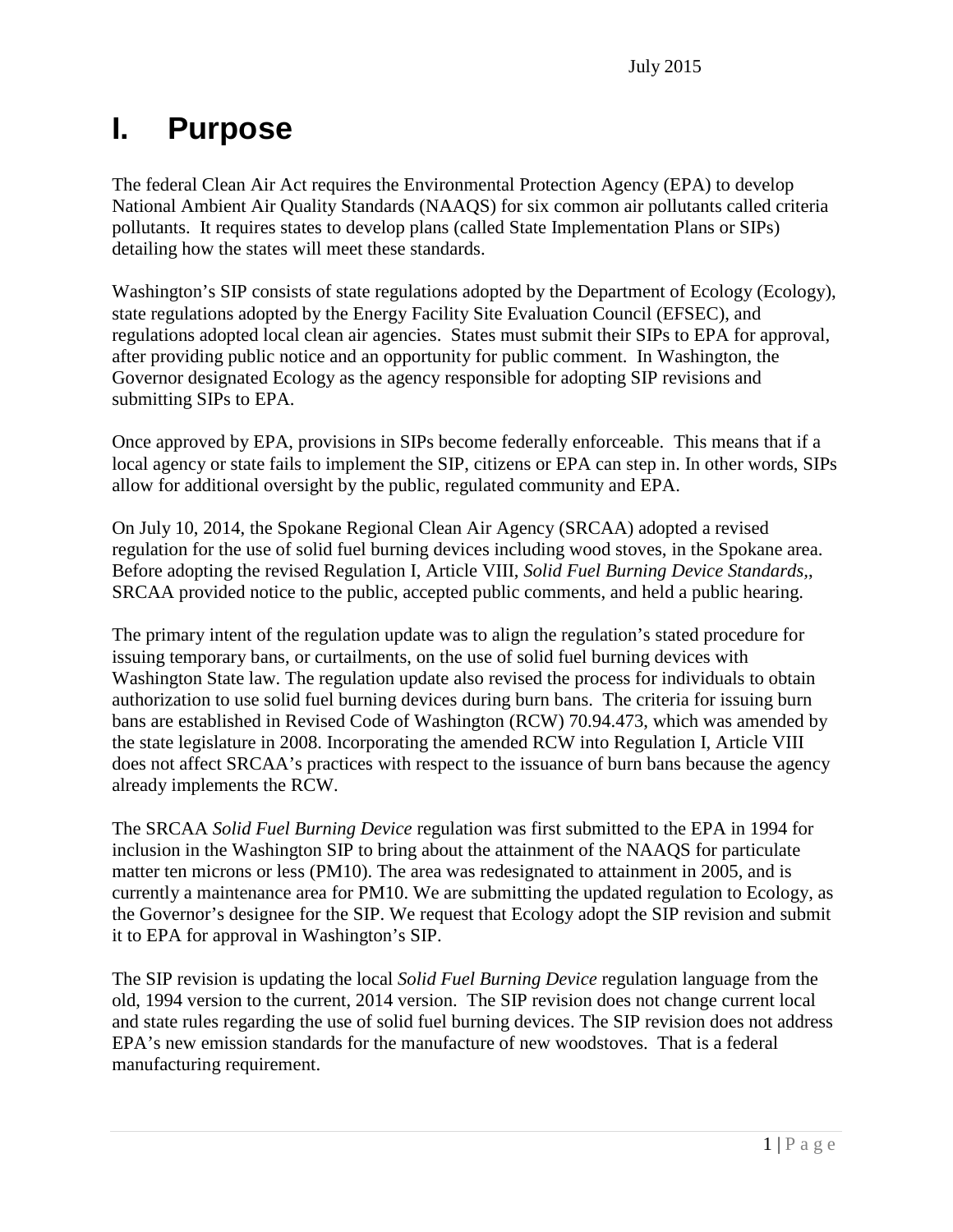# <span id="page-5-0"></span>**I. Purpose**

The federal Clean Air Act requires the Environmental Protection Agency (EPA) to develop National Ambient Air Quality Standards (NAAQS) for six common air pollutants called criteria pollutants. It requires states to develop plans (called State Implementation Plans or SIPs) detailing how the states will meet these standards.

Washington's SIP consists of state regulations adopted by the Department of Ecology (Ecology), state regulations adopted by the Energy Facility Site Evaluation Council (EFSEC), and regulations adopted local clean air agencies. States must submit their SIPs to EPA for approval, after providing public notice and an opportunity for public comment. In Washington, the Governor designated Ecology as the agency responsible for adopting SIP revisions and submitting SIPs to EPA.

Once approved by EPA, provisions in SIPs become federally enforceable. This means that if a local agency or state fails to implement the SIP, citizens or EPA can step in. In other words, SIPs allow for additional oversight by the public, regulated community and EPA.

On July 10, 2014, the Spokane Regional Clean Air Agency (SRCAA) adopted a revised regulation for the use of solid fuel burning devices including wood stoves, in the Spokane area. Before adopting the revised Regulation I, Article VIII, *Solid Fuel Burning Device Standards,*, SRCAA provided notice to the public, accepted public comments, and held a public hearing.

The primary intent of the regulation update was to align the regulation's stated procedure for issuing temporary bans, or curtailments, on the use of solid fuel burning devices with Washington State law. The regulation update also revised the process for individuals to obtain authorization to use solid fuel burning devices during burn bans. The criteria for issuing burn bans are established in Revised Code of Washington (RCW) 70.94.473, which was amended by the state legislature in 2008. Incorporating the amended RCW into Regulation I, Article VIII does not affect SRCAA's practices with respect to the issuance of burn bans because the agency already implements the RCW.

The SRCAA *Solid Fuel Burning Device* regulation was first submitted to the EPA in 1994 for inclusion in the Washington SIP to bring about the attainment of the NAAQS for particulate matter ten microns or less (PM10). The area was redesignated to attainment in 2005, and is currently a maintenance area for PM10. We are submitting the updated regulation to Ecology, as the Governor's designee for the SIP. We request that Ecology adopt the SIP revision and submit it to EPA for approval in Washington's SIP.

The SIP revision is updating the local *Solid Fuel Burning Device* regulation language from the old, 1994 version to the current, 2014 version. The SIP revision does not change current local and state rules regarding the use of solid fuel burning devices. The SIP revision does not address EPA's new emission standards for the manufacture of new woodstoves. That is a federal manufacturing requirement.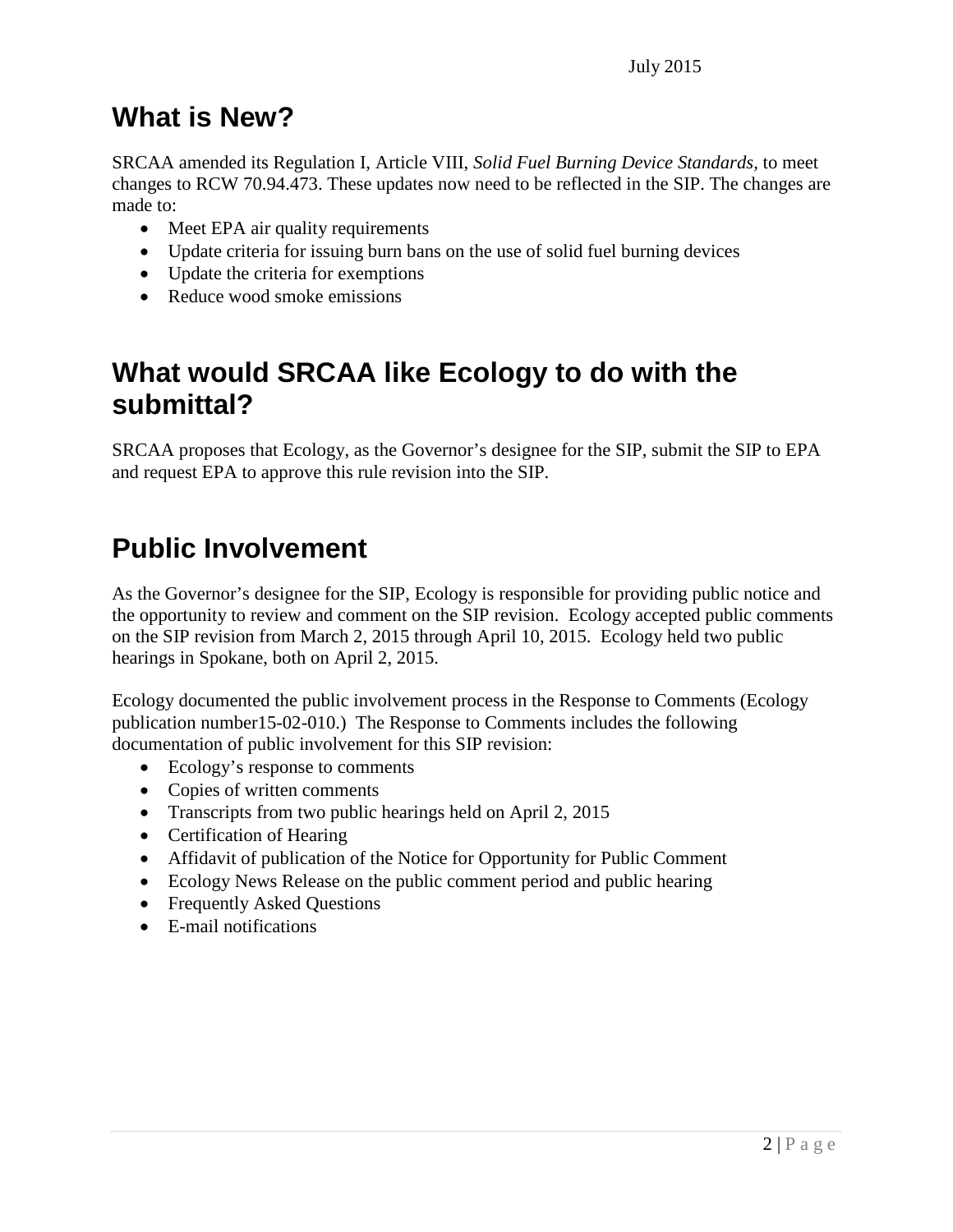# <span id="page-6-0"></span>**What is New?**

SRCAA amended its Regulation I, Article VIII, *Solid Fuel Burning Device Standards,* to meet changes to RCW 70.94.473. These updates now need to be reflected in the SIP. The changes are made to:

- Meet EPA air quality requirements
- Update criteria for issuing burn bans on the use of solid fuel burning devices
- Update the criteria for exemptions
- Reduce wood smoke emissions

# <span id="page-6-1"></span>**What would SRCAA like Ecology to do with the submittal?**

SRCAA proposes that Ecology, as the Governor's designee for the SIP, submit the SIP to EPA and request EPA to approve this rule revision into the SIP.

# <span id="page-6-2"></span>**Public Involvement**

As the Governor's designee for the SIP, Ecology is responsible for providing public notice and the opportunity to review and comment on the SIP revision. Ecology accepted public comments on the SIP revision from March 2, 2015 through April 10, 2015. Ecology held two public hearings in Spokane, both on April 2, 2015.

Ecology documented the public involvement process in the Response to Comments (Ecology publication number15-02-010.) The Response to Comments includes the following documentation of public involvement for this SIP revision:

- Ecology's response to comments
- Copies of written comments
- Transcripts from two public hearings held on April 2, 2015
- Certification of Hearing
- Affidavit of publication of the Notice for Opportunity for Public Comment
- Ecology News Release on the public comment period and public hearing
- Frequently Asked Questions
- E-mail notifications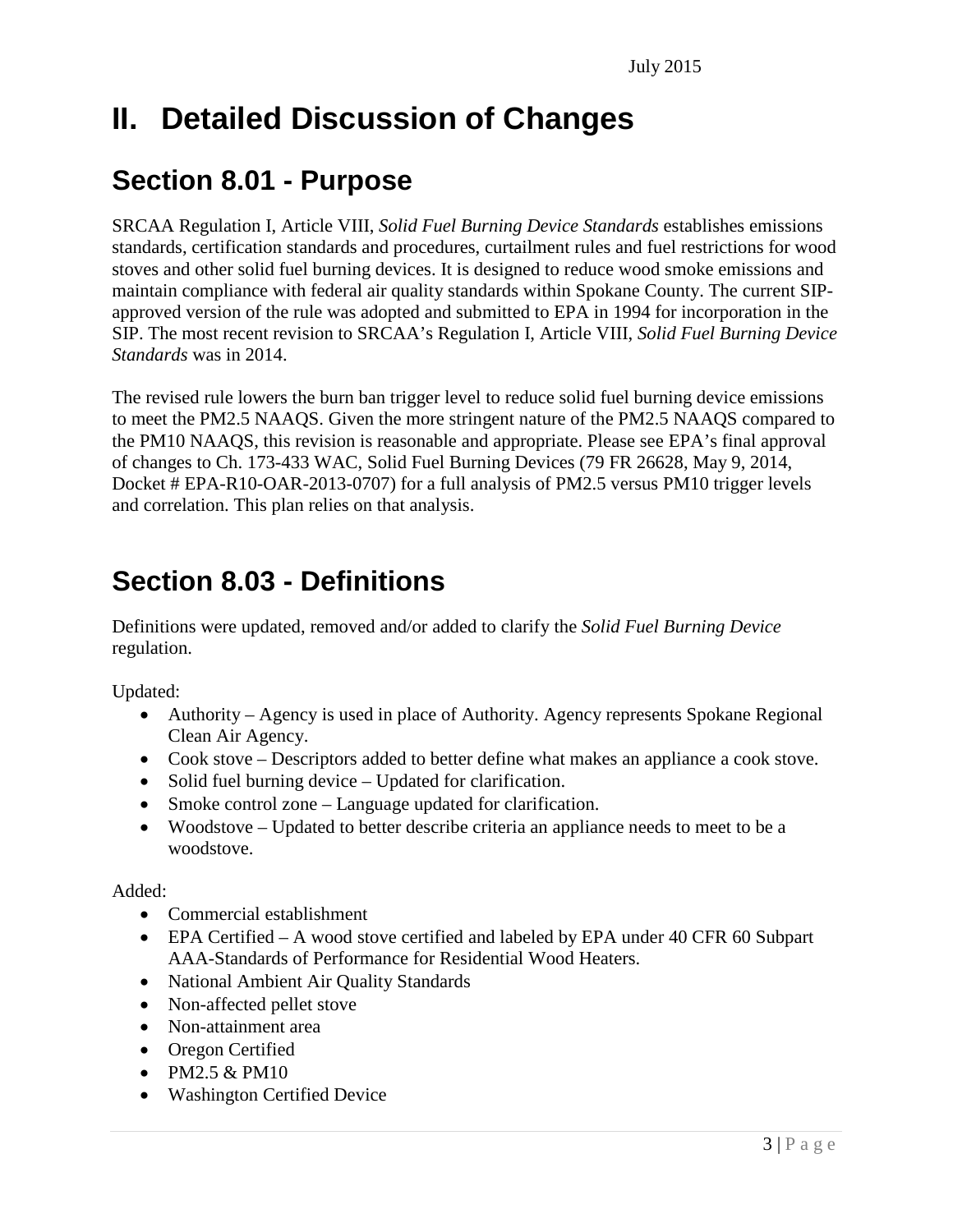# <span id="page-7-0"></span>**II. Detailed Discussion of Changes**

# <span id="page-7-1"></span>**Section 8.01 - Purpose**

SRCAA Regulation I, Article VIII, *Solid Fuel Burning Device Standards* establishes emissions standards, certification standards and procedures, curtailment rules and fuel restrictions for wood stoves and other solid fuel burning devices. It is designed to reduce wood smoke emissions and maintain compliance with federal air quality standards within Spokane County. The current SIPapproved version of the rule was adopted and submitted to EPA in 1994 for incorporation in the SIP. The most recent revision to SRCAA's Regulation I, Article VIII, *Solid Fuel Burning Device Standards* was in 2014.

The revised rule lowers the burn ban trigger level to reduce solid fuel burning device emissions to meet the PM2.5 NAAQS. Given the more stringent nature of the PM2.5 NAAQS compared to the PM10 NAAQS, this revision is reasonable and appropriate. Please see EPA's final approval of changes to Ch. 173-433 WAC, Solid Fuel Burning Devices (79 FR 26628, May 9, 2014, Docket # EPA-R10-OAR-2013-0707) for a full analysis of PM2.5 versus PM10 trigger levels and correlation. This plan relies on that analysis.

# <span id="page-7-2"></span>**Section 8.03 - Definitions**

Definitions were updated, removed and/or added to clarify the *Solid Fuel Burning Device* regulation.

Updated:

- Authority Agency is used in place of Authority. Agency represents Spokane Regional Clean Air Agency.
- Cook stove Descriptors added to better define what makes an appliance a cook stove.
- Solid fuel burning device Updated for clarification.
- Smoke control zone Language updated for clarification.
- Woodstove Updated to better describe criteria an appliance needs to meet to be a woodstove.

Added:

- Commercial establishment
- EPA Certified A wood stove certified and labeled by EPA under 40 CFR 60 Subpart AAA-Standards of Performance for Residential Wood Heaters.
- National Ambient Air Quality Standards
- Non-affected pellet stove
- Non-attainment area
- Oregon Certified
- PM2.5 & PM10
- Washington Certified Device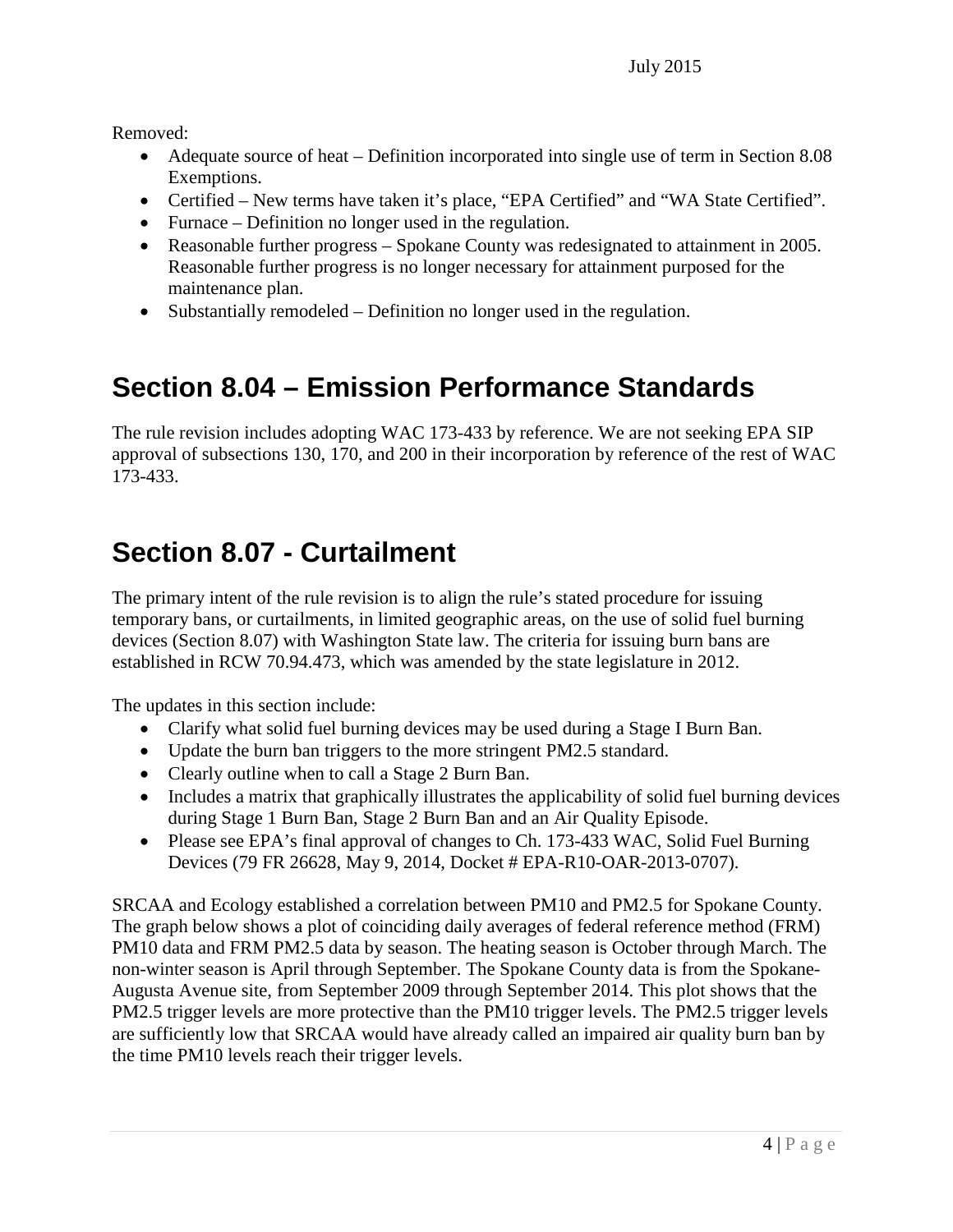Removed:

- Adequate source of heat Definition incorporated into single use of term in Section 8.08 Exemptions.
- Certified New terms have taken it's place, "EPA Certified" and "WA State Certified".
- Furnace Definition no longer used in the regulation.
- Reasonable further progress Spokane County was redesignated to attainment in 2005. Reasonable further progress is no longer necessary for attainment purposed for the maintenance plan.
- Substantially remodeled Definition no longer used in the regulation.

# <span id="page-8-0"></span>**Section 8.04 – Emission Performance Standards**

The rule revision includes adopting WAC 173-433 by reference. We are not seeking EPA SIP approval of subsections 130, 170, and 200 in their incorporation by reference of the rest of WAC 173-433.

# <span id="page-8-1"></span>**Section 8.07 - Curtailment**

The primary intent of the rule revision is to align the rule's stated procedure for issuing temporary bans, or curtailments, in limited geographic areas, on the use of solid fuel burning devices (Section 8.07) with Washington State law. The criteria for issuing burn bans are established in RCW 70.94.473, which was amended by the state legislature in 2012.

The updates in this section include:

- Clarify what solid fuel burning devices may be used during a Stage I Burn Ban.
- Update the burn ban triggers to the more stringent PM2.5 standard.
- Clearly outline when to call a Stage 2 Burn Ban.
- Includes a matrix that graphically illustrates the applicability of solid fuel burning devices during Stage 1 Burn Ban, Stage 2 Burn Ban and an Air Quality Episode.
- Please see EPA's final approval of changes to Ch. 173-433 WAC, Solid Fuel Burning Devices (79 FR 26628, May 9, 2014, Docket # EPA-R10-OAR-2013-0707).

SRCAA and Ecology established a correlation between PM10 and PM2.5 for Spokane County. The graph below shows a plot of coinciding daily averages of federal reference method (FRM) PM10 data and FRM PM2.5 data by season. The heating season is October through March. The non-winter season is April through September. The Spokane County data is from the Spokane-Augusta Avenue site, from September 2009 through September 2014. This plot shows that the PM2.5 trigger levels are more protective than the PM10 trigger levels. The PM2.5 trigger levels are sufficiently low that SRCAA would have already called an impaired air quality burn ban by the time PM10 levels reach their trigger levels.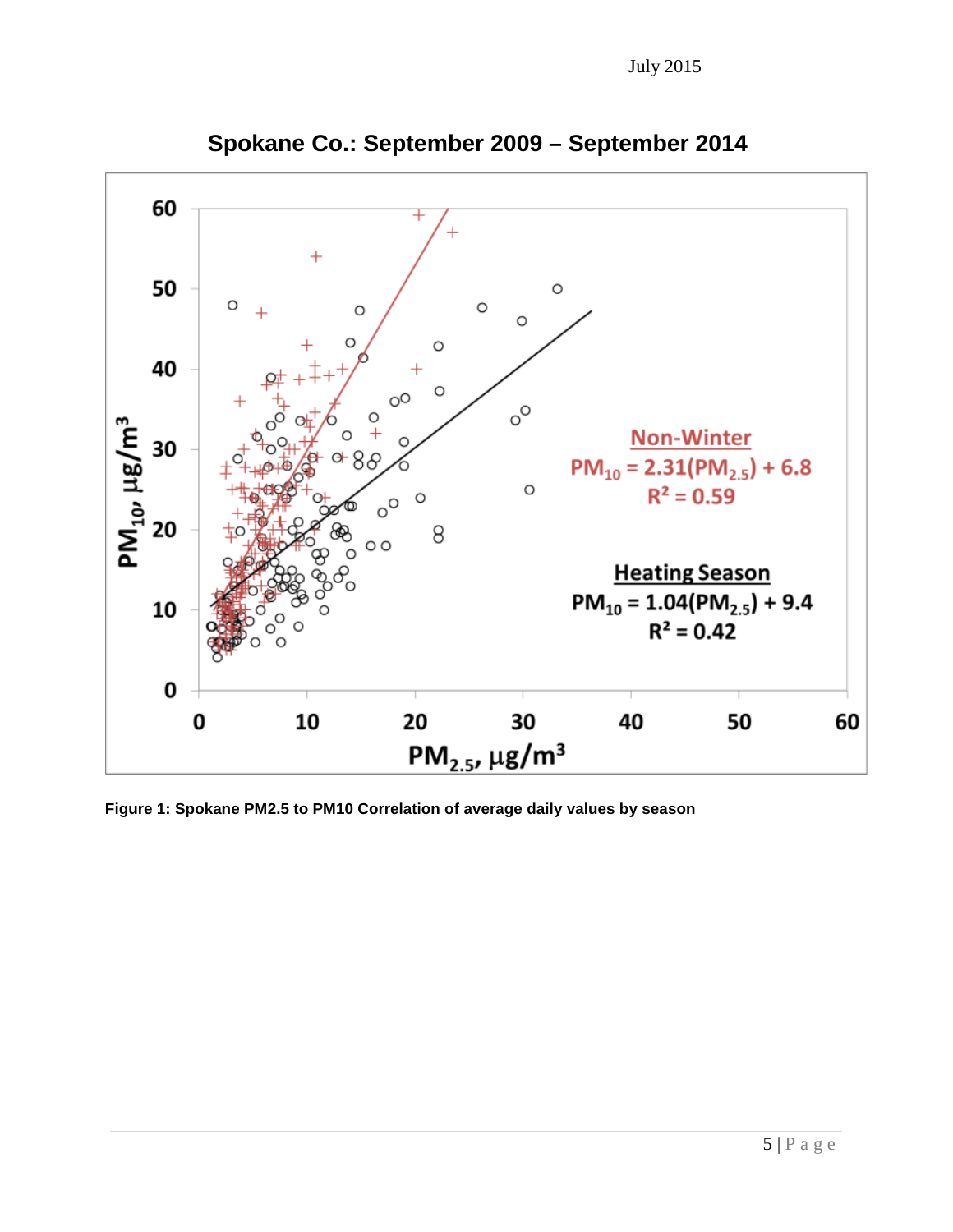

**Spokane Co.: September 2009 – September 2014**

**Figure 1: Spokane PM2.5 to PM10 Correlation of average daily values by season**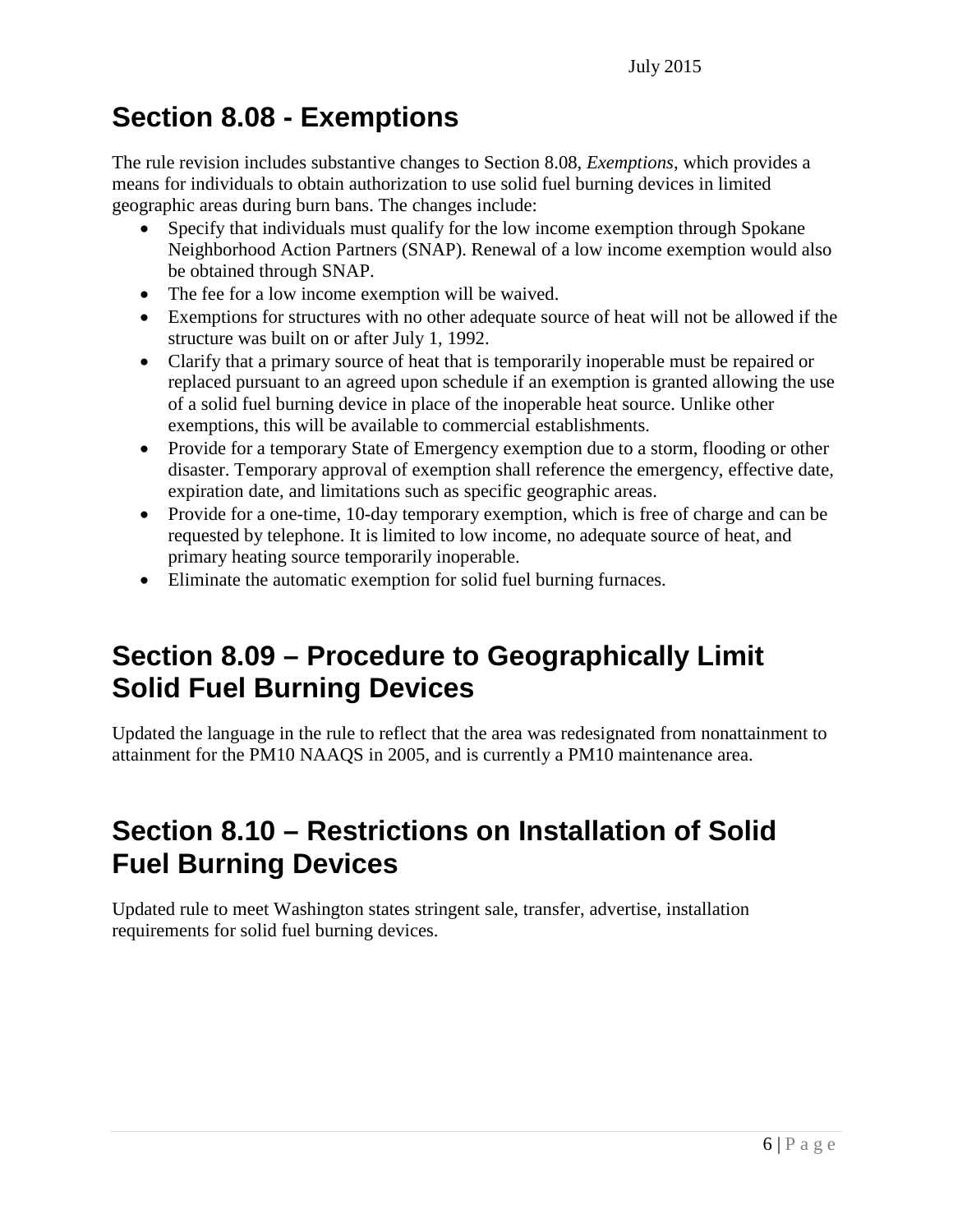### <span id="page-10-0"></span>**Section 8.08 - Exemptions**

The rule revision includes substantive changes to Section 8.08, *Exemptions*, which provides a means for individuals to obtain authorization to use solid fuel burning devices in limited geographic areas during burn bans. The changes include:

- Specify that individuals must qualify for the low income exemption through Spokane Neighborhood Action Partners (SNAP). Renewal of a low income exemption would also be obtained through SNAP.
- The fee for a low income exemption will be waived.
- Exemptions for structures with no other adequate source of heat will not be allowed if the structure was built on or after July 1, 1992.
- Clarify that a primary source of heat that is temporarily inoperable must be repaired or replaced pursuant to an agreed upon schedule if an exemption is granted allowing the use of a solid fuel burning device in place of the inoperable heat source. Unlike other exemptions, this will be available to commercial establishments.
- Provide for a temporary State of Emergency exemption due to a storm, flooding or other disaster. Temporary approval of exemption shall reference the emergency, effective date, expiration date, and limitations such as specific geographic areas.
- Provide for a one-time, 10-day temporary exemption, which is free of charge and can be requested by telephone. It is limited to low income, no adequate source of heat, and primary heating source temporarily inoperable.
- Eliminate the automatic exemption for solid fuel burning furnaces.

### <span id="page-10-1"></span>**Section 8.09 – Procedure to Geographically Limit Solid Fuel Burning Devices**

Updated the language in the rule to reflect that the area was redesignated from nonattainment to attainment for the PM10 NAAQS in 2005, and is currently a PM10 maintenance area.

# <span id="page-10-2"></span>**Section 8.10 – Restrictions on Installation of Solid Fuel Burning Devices**

Updated rule to meet Washington states stringent sale, transfer, advertise, installation requirements for solid fuel burning devices.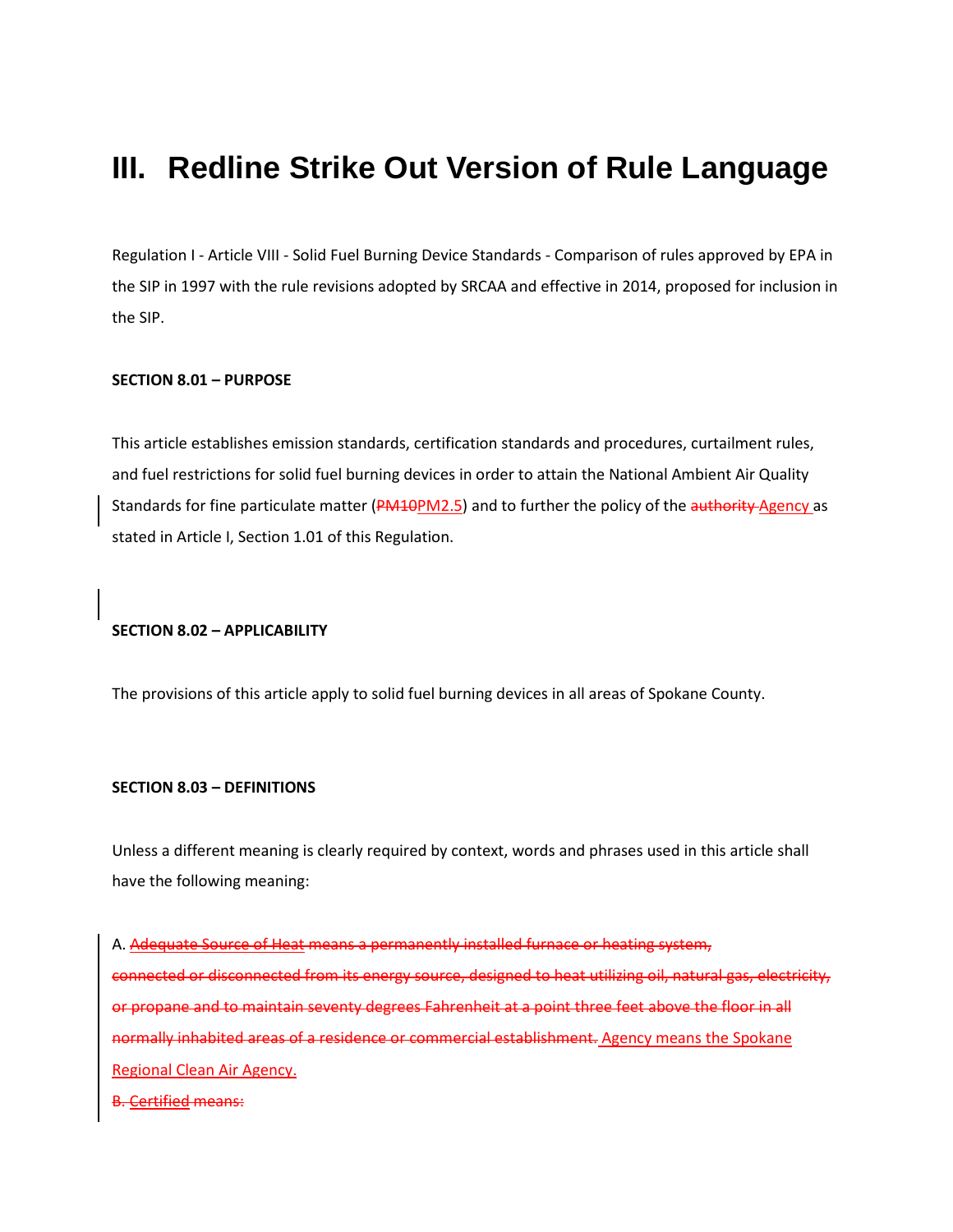### **III. Redline Strike Out Version of Rule Language**

Regulation I - Article VIII - Solid Fuel Burning Device Standards - Comparison of rules approved by EPA in the SIP in 1997 with the rule revisions adopted by SRCAA and effective in 2014, proposed for inclusion in the SIP.

#### **SECTION 8.01 – PURPOSE**

This article establishes emission standards, certification standards and procedures, curtailment rules, and fuel restrictions for solid fuel burning devices in order to attain the National Ambient Air Quality Standards for fine particulate matter (PM10PM2.5) and to further the policy of the authority Agency as stated in Article I, Section 1.01 of this Regulation.

#### **SECTION 8.02 – APPLICABILITY**

The provisions of this article apply to solid fuel burning devices in all areas of Spokane County.

#### **SECTION 8.03 – DEFINITIONS**

Unless a different meaning is clearly required by context, words and phrases used in this article shall have the following meaning:

A. Adequate Source of Heat means a permanently installed furnace or heating system, connected or disconnected from its energy source, designed to heat utilizing oil, natural gas, electricity, or propane and to maintain seventy degrees Fahrenheit at a point three feet above the floor in all normally inhabited areas of a residence or commercial establishment. Agency means the Spokane Regional Clean Air Agency.

B. Certified means: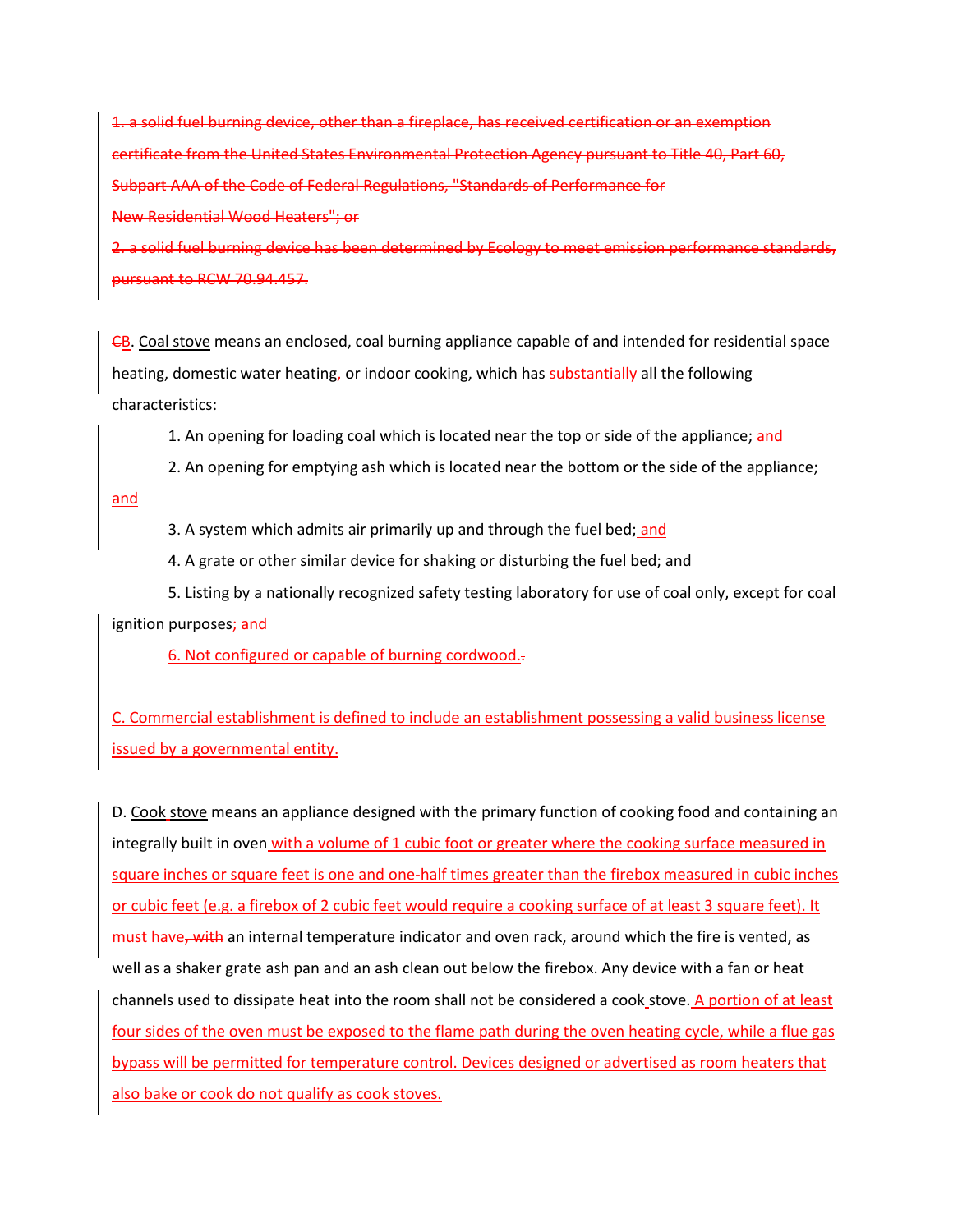1. a solid fuel burning device, other than a fireplace, has received certification or an exemption certificate from the United States Environmental Protection Agency pursuant to Title 40, Part 60, Subpart AAA of the Code of Federal Regulations, "Standards of Performance for New Residential Wood Heaters"; or

2. a solid fuel burning device has been determined by Ecology to meet emission performance standards, pursuant to RCW 70.94.457.

CB. Coal stove means an enclosed, coal burning appliance capable of and intended for residential space heating, domestic water heating, or indoor cooking, which has substantially all the following characteristics:

1. An opening for loading coal which is located near the top or side of the appliance; and

2. An opening for emptying ash which is located near the bottom or the side of the appliance;

and

3. A system which admits air primarily up and through the fuel bed; and

4. A grate or other similar device for shaking or disturbing the fuel bed; and

5. Listing by a nationally recognized safety testing laboratory for use of coal only, except for coal ignition purposes; and

6. Not configured or capable of burning cordwood..

C. Commercial establishment is defined to include an establishment possessing a valid business license issued by a governmental entity.

D. Cook stove means an appliance designed with the primary function of cooking food and containing an integrally built in oven with a volume of 1 cubic foot or greater where the cooking surface measured in square inches or square feet is one and one-half times greater than the firebox measured in cubic inches or cubic feet (e.g. a firebox of 2 cubic feet would require a cooking surface of at least 3 square feet). It must have, with an internal temperature indicator and oven rack, around which the fire is vented, as well as a shaker grate ash pan and an ash clean out below the firebox. Any device with a fan or heat channels used to dissipate heat into the room shall not be considered a cook stove. A portion of at least four sides of the oven must be exposed to the flame path during the oven heating cycle, while a flue gas bypass will be permitted for temperature control. Devices designed or advertised as room heaters that also bake or cook do not qualify as cook stoves.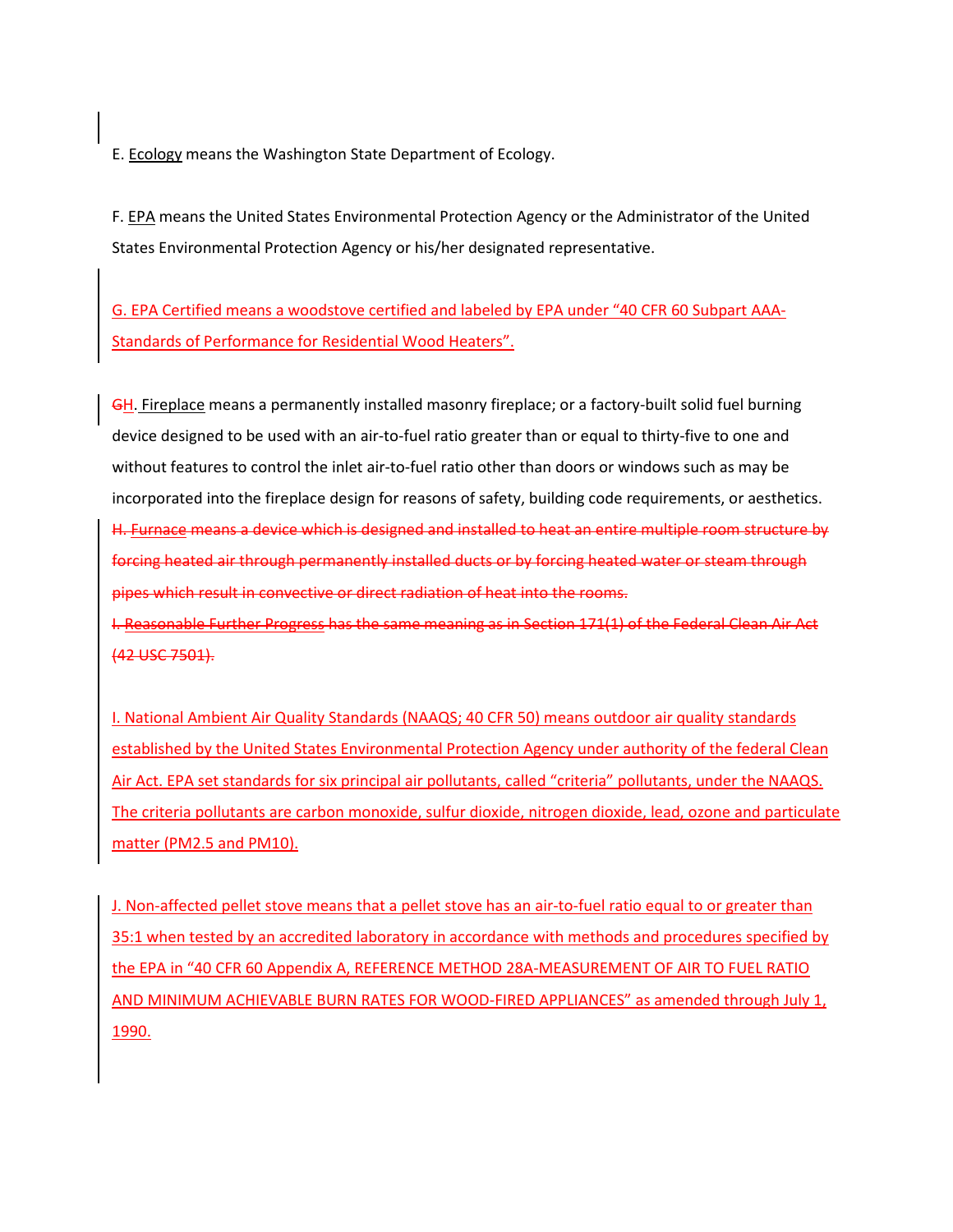E. Ecology means the Washington State Department of Ecology.

F. EPA means the United States Environmental Protection Agency or the Administrator of the United States Environmental Protection Agency or his/her designated representative.

G. EPA Certified means a woodstove certified and labeled by EPA under "40 CFR 60 Subpart AAA-Standards of Performance for Residential Wood Heaters".

GH. Fireplace means a permanently installed masonry fireplace; or a factory-built solid fuel burning device designed to be used with an air-to-fuel ratio greater than or equal to thirty-five to one and without features to control the inlet air-to-fuel ratio other than doors or windows such as may be incorporated into the fireplace design for reasons of safety, building code requirements, or aesthetics. H. Furnace means a device which is designed and installed to heat an entire multiple room structure by forcing heated air through permanently installed ducts or by forcing heated water or steam through pipes which result in convective or direct radiation of heat into the rooms.

I. Reasonable Further Progress has the same meaning as in Section 171(1) of the Federal Clean Air Act (42 USC 7501).

I. National Ambient Air Quality Standards (NAAQS; 40 CFR 50) means outdoor air quality standards established by the United States Environmental Protection Agency under authority of the federal Clean Air Act. EPA set standards for six principal air pollutants, called "criteria" pollutants, under the NAAQS. The criteria pollutants are carbon monoxide, sulfur dioxide, nitrogen dioxide, lead, ozone and particulate matter (PM2.5 and PM10).

J. Non-affected pellet stove means that a pellet stove has an air-to-fuel ratio equal to or greater than 35:1 when tested by an accredited laboratory in accordance with methods and procedures specified by the EPA in "40 CFR 60 Appendix A, REFERENCE METHOD 28A-MEASUREMENT OF AIR TO FUEL RATIO AND MINIMUM ACHIEVABLE BURN RATES FOR WOOD-FIRED APPLIANCES" as amended through July 1, 1990.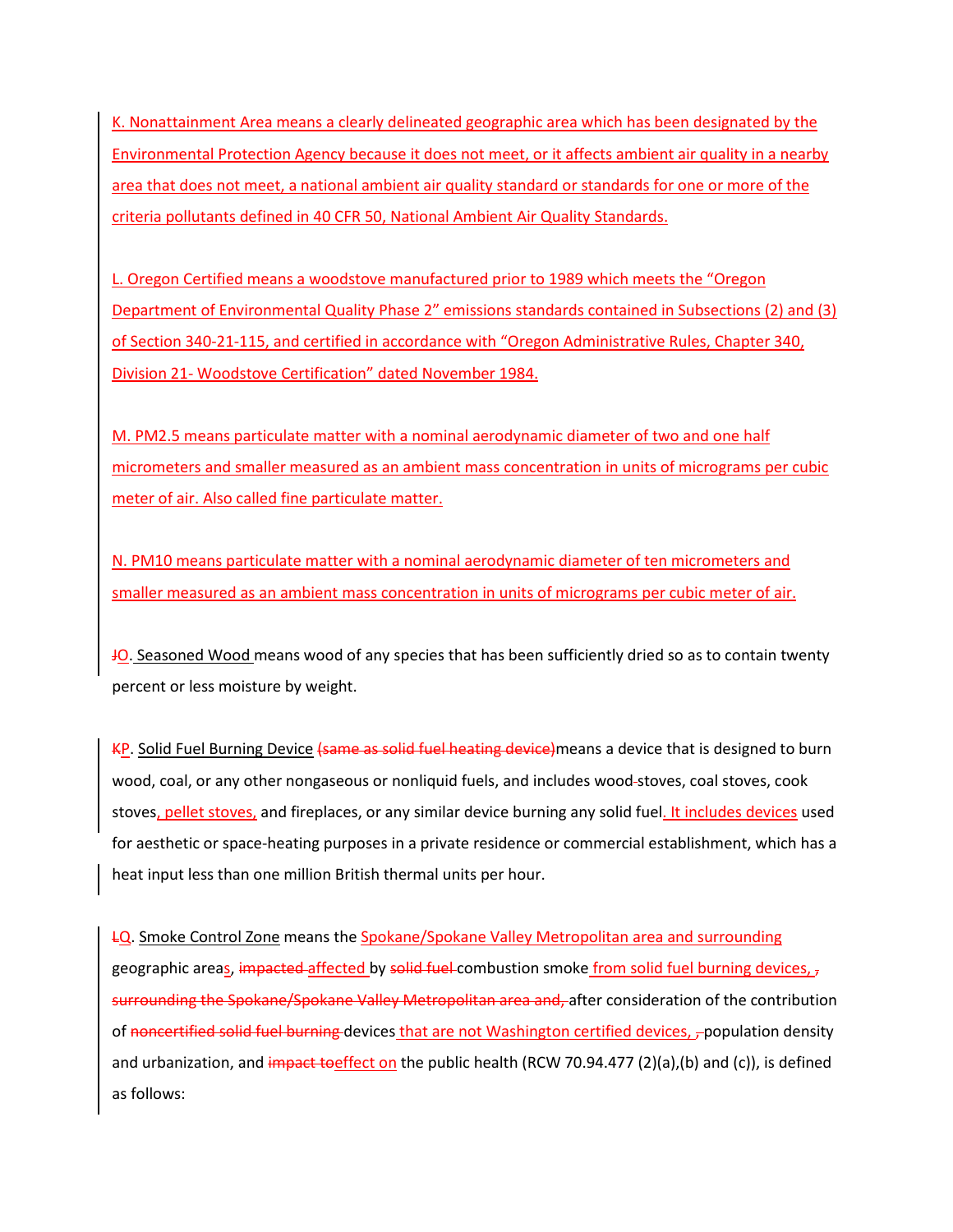K. Nonattainment Area means a clearly delineated geographic area which has been designated by the Environmental Protection Agency because it does not meet, or it affects ambient air quality in a nearby area that does not meet, a national ambient air quality standard or standards for one or more of the criteria pollutants defined in 40 CFR 50, National Ambient Air Quality Standards.

L. Oregon Certified means a woodstove manufactured prior to 1989 which meets the "Oregon Department of Environmental Quality Phase 2" emissions standards contained in Subsections (2) and (3) of Section 340-21-115, and certified in accordance with "Oregon Administrative Rules, Chapter 340, Division 21- Woodstove Certification" dated November 1984.

M. PM2.5 means particulate matter with a nominal aerodynamic diameter of two and one half micrometers and smaller measured as an ambient mass concentration in units of micrograms per cubic meter of air. Also called fine particulate matter.

N. PM10 means particulate matter with a nominal aerodynamic diameter of ten micrometers and smaller measured as an ambient mass concentration in units of micrograms per cubic meter of air.

JO. Seasoned Wood means wood of any species that has been sufficiently dried so as to contain twenty percent or less moisture by weight.

KP. Solid Fuel Burning Device (same as solid fuel heating device)means a device that is designed to burn wood, coal, or any other nongaseous or nonliquid fuels, and includes wood stoves, coal stoves, cook stoves, pellet stoves, and fireplaces, or any similar device burning any solid fuel. It includes devices used for aesthetic or space-heating purposes in a private residence or commercial establishment, which has a heat input less than one million British thermal units per hour.

**LQ.** Smoke Control Zone means the Spokane/Spokane Valley Metropolitan area and surrounding geographic areas, impacted affected by solid fuel combustion smoke from solid fuel burning devices,  $\frac{1}{2}$ surrounding the Spokane/Spokane Valley Metropolitan area and, after consideration of the contribution of noncertified solid fuel burning devices that are not Washington certified devices, -population density and urbanization, and impact toeffect on the public health (RCW 70.94.477 (2)(a),(b) and (c)), is defined as follows: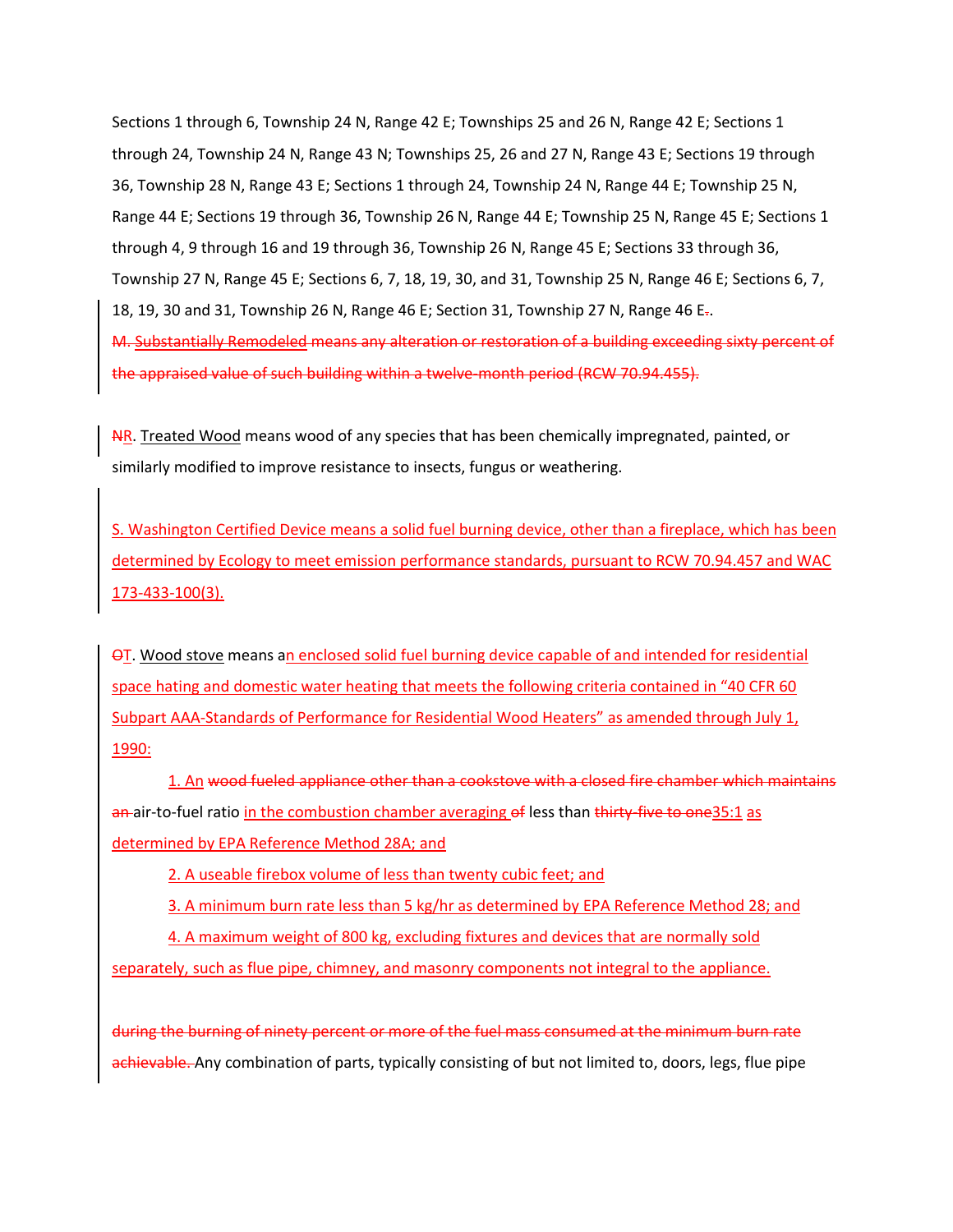Sections 1 through 6, Township 24 N, Range 42 E; Townships 25 and 26 N, Range 42 E; Sections 1 through 24, Township 24 N, Range 43 N; Townships 25, 26 and 27 N, Range 43 E; Sections 19 through 36, Township 28 N, Range 43 E; Sections 1 through 24, Township 24 N, Range 44 E; Township 25 N, Range 44 E; Sections 19 through 36, Township 26 N, Range 44 E; Township 25 N, Range 45 E; Sections 1 through 4, 9 through 16 and 19 through 36, Township 26 N, Range 45 E; Sections 33 through 36, Township 27 N, Range 45 E; Sections 6, 7, 18, 19, 30, and 31, Township 25 N, Range 46 E; Sections 6, 7, 18, 19, 30 and 31, Township 26 N, Range 46 E; Section 31, Township 27 N, Range 46 E. M. Substantially Remodeled means any alteration or restoration of a building exceeding sixty percent of the appraised value of such building within a twelve-month period (RCW 70.94.455).

NR. Treated Wood means wood of any species that has been chemically impregnated, painted, or similarly modified to improve resistance to insects, fungus or weathering.

S. Washington Certified Device means a solid fuel burning device, other than a fireplace, which has been determined by Ecology to meet emission performance standards, pursuant to RCW 70.94.457 and WAC 173-433-100(3).

OT. Wood stove means an enclosed solid fuel burning device capable of and intended for residential space hating and domestic water heating that meets the following criteria contained in "40 CFR 60 Subpart AAA-Standards of Performance for Residential Wood Heaters" as amended through July 1, 1990:

1. An wood fueled appliance other than a cookstove with a closed fire chamber which maintains an air-to-fuel ratio in the combustion chamber averaging of less than thirty-five to one 35:1 as determined by EPA Reference Method 28A; and

2. A useable firebox volume of less than twenty cubic feet; and

3. A minimum burn rate less than 5 kg/hr as determined by EPA Reference Method 28; and

4. A maximum weight of 800 kg, excluding fixtures and devices that are normally sold separately, such as flue pipe, chimney, and masonry components not integral to the appliance.

during the burning of ninety percent or more of the fuel mass consumed at the minimum burn rate achievable. Any combination of parts, typically consisting of but not limited to, doors, legs, flue pipe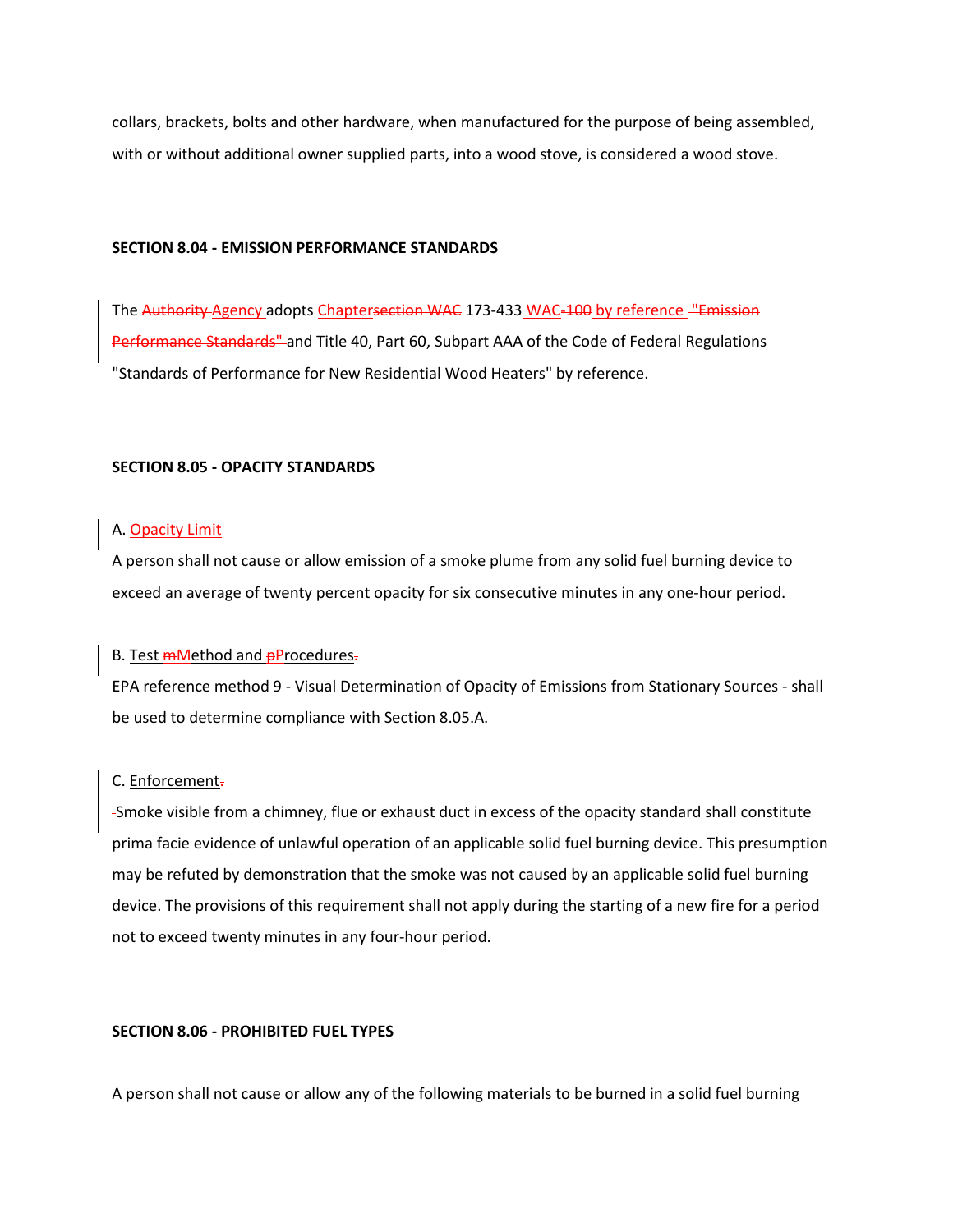collars, brackets, bolts and other hardware, when manufactured for the purpose of being assembled, with or without additional owner supplied parts, into a wood stove, is considered a wood stove.

#### **SECTION 8.04 - EMISSION PERFORMANCE STANDARDS**

The Authority Agency adopts Chaptersection WAC 173-433 WAC-100 by reference "Emission Performance Standards" and Title 40, Part 60, Subpart AAA of the Code of Federal Regulations "Standards of Performance for New Residential Wood Heaters" by reference.

#### **SECTION 8.05 - OPACITY STANDARDS**

#### A. Opacity Limit

A person shall not cause or allow emission of a smoke plume from any solid fuel burning device to exceed an average of twenty percent opacity for six consecutive minutes in any one-hour period.

#### B. Test mMethod and pProcedures-

EPA reference method 9 - Visual Determination of Opacity of Emissions from Stationary Sources - shall be used to determine compliance with Section 8.05.A.

#### C. Enforcement.

Smoke visible from a chimney, flue or exhaust duct in excess of the opacity standard shall constitute prima facie evidence of unlawful operation of an applicable solid fuel burning device. This presumption may be refuted by demonstration that the smoke was not caused by an applicable solid fuel burning device. The provisions of this requirement shall not apply during the starting of a new fire for a period not to exceed twenty minutes in any four-hour period.

#### **SECTION 8.06 - PROHIBITED FUEL TYPES**

A person shall not cause or allow any of the following materials to be burned in a solid fuel burning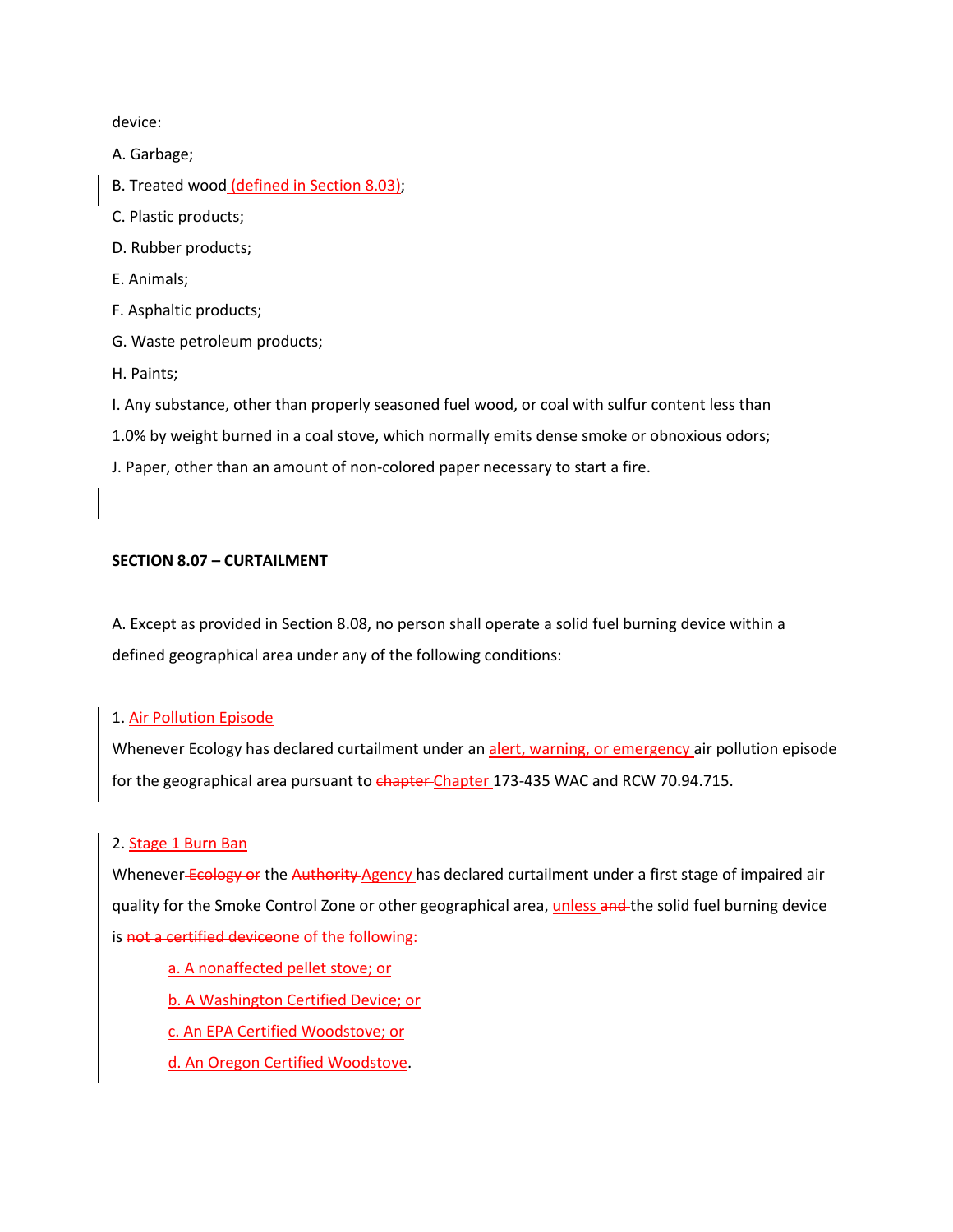device:

- A. Garbage;
- B. Treated wood (defined in Section 8.03);
- C. Plastic products;
- D. Rubber products;
- E. Animals;
- F. Asphaltic products;
- G. Waste petroleum products;
- H. Paints;

I. Any substance, other than properly seasoned fuel wood, or coal with sulfur content less than

- 1.0% by weight burned in a coal stove, which normally emits dense smoke or obnoxious odors;
- J. Paper, other than an amount of non-colored paper necessary to start a fire.

### **SECTION 8.07 – CURTAILMENT**

A. Except as provided in Section 8.08, no person shall operate a solid fuel burning device within a defined geographical area under any of the following conditions:

### 1. Air Pollution Episode

Whenever Ecology has declared curtailment under an alert, warning, or emergency air pollution episode for the geographical area pursuant to chapter Chapter 173-435 WAC and RCW 70.94.715.

### 2. Stage 1 Burn Ban

Whenever-Ecology or the Authority Agency has declared curtailment under a first stage of impaired air quality for the Smoke Control Zone or other geographical area, unless and the solid fuel burning device is not a certified deviceone of the following:

- a. A nonaffected pellet stove; or
- b. A Washington Certified Device; or
- c. An EPA Certified Woodstove; or
- d. An Oregon Certified Woodstove.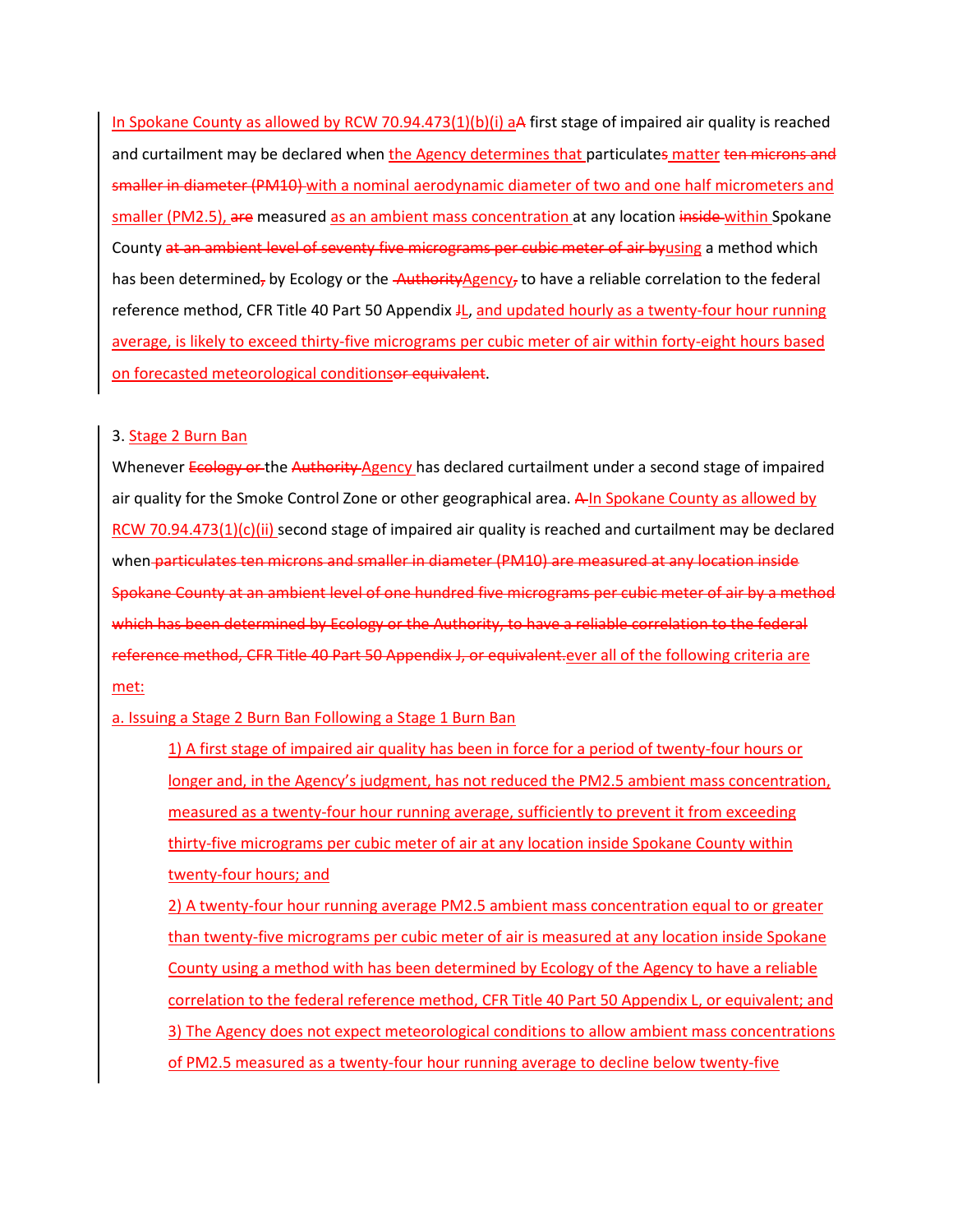In Spokane County as allowed by RCW 70.94.473(1)(b)(i) aA first stage of impaired air quality is reached and curtailment may be declared when the Agency determines that particulates matter ten microns and smaller in diameter (PM10) with a nominal aerodynamic diameter of two and one half micrometers and smaller (PM2.5), are measured as an ambient mass concentration at any location inside-within Spokane County at an ambient level of seventy five micrograms per cubic meter of air byusing a method which has been determined, by Ecology or the AuthorityAgency, to have a reliable correlation to the federal reference method, CFR Title 40 Part 50 Appendix H, and updated hourly as a twenty-four hour running average, is likely to exceed thirty-five micrograms per cubic meter of air within forty-eight hours based on forecasted meteorological conditionsor equivalent.

#### 3. Stage 2 Burn Ban

Whenever Ecology or the Authority Agency has declared curtailment under a second stage of impaired air quality for the Smoke Control Zone or other geographical area. A In Spokane County as allowed by RCW 70.94.473(1)(c)(ii) second stage of impaired air quality is reached and curtailment may be declared when particulates ten microns and smaller in diameter (PM10) are measured at any location inside Spokane County at an ambient level of one hundred five micrograms per cubic meter of air by a method which has been determined by Ecology or the Authority, to have a reliable correlation to the federal reference method, CFR Title 40 Part 50 Appendix J, or equivalent. ever all of the following criteria are met:

#### a. Issuing a Stage 2 Burn Ban Following a Stage 1 Burn Ban

1) A first stage of impaired air quality has been in force for a period of twenty-four hours or longer and, in the Agency's judgment, has not reduced the PM2.5 ambient mass concentration, measured as a twenty-four hour running average, sufficiently to prevent it from exceeding thirty-five micrograms per cubic meter of air at any location inside Spokane County within twenty-four hours; and

2) A twenty-four hour running average PM2.5 ambient mass concentration equal to or greater than twenty-five micrograms per cubic meter of air is measured at any location inside Spokane County using a method with has been determined by Ecology of the Agency to have a reliable correlation to the federal reference method, CFR Title 40 Part 50 Appendix L, or equivalent; and 3) The Agency does not expect meteorological conditions to allow ambient mass concentrations of PM2.5 measured as a twenty-four hour running average to decline below twenty-five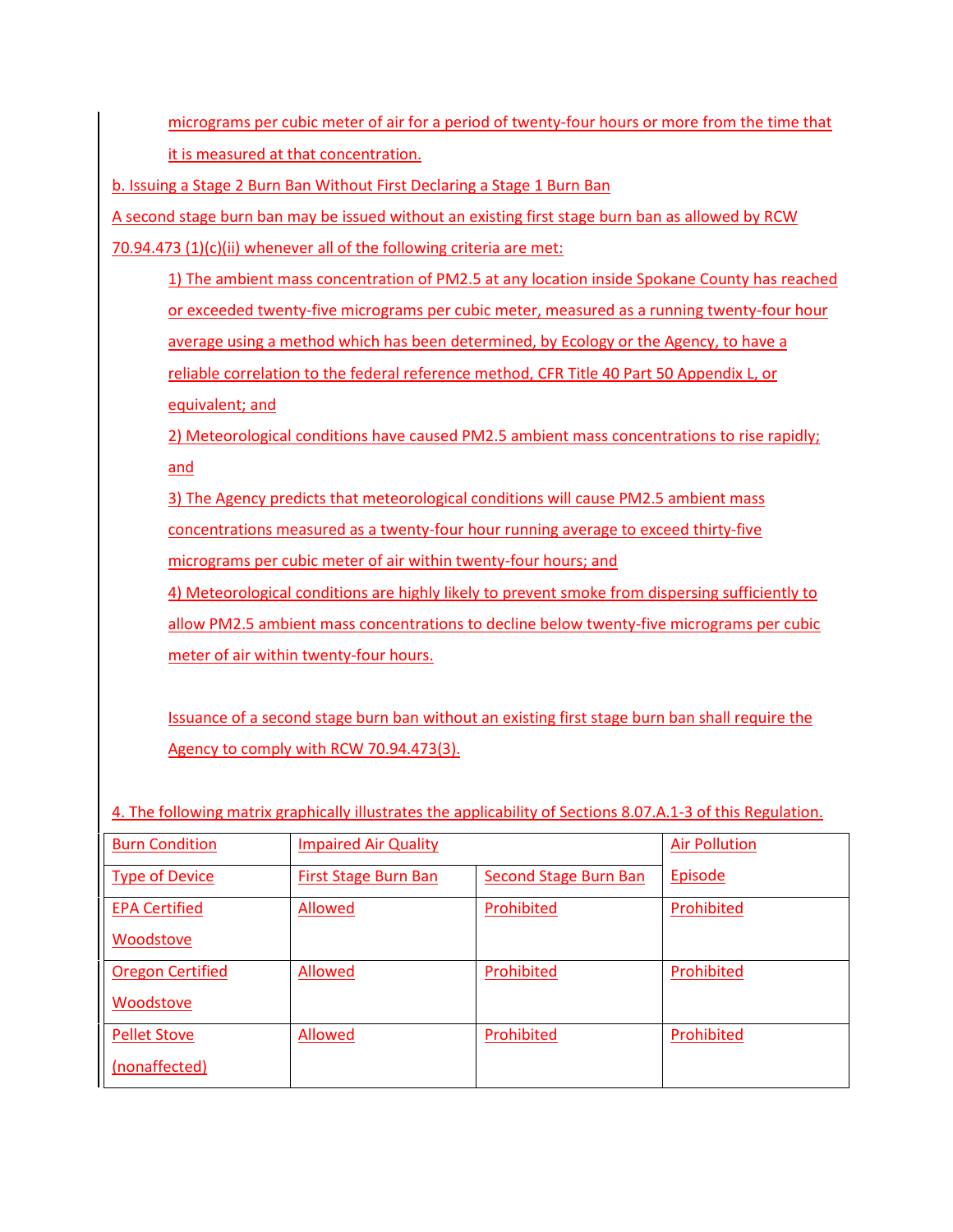micrograms per cubic meter of air for a period of twenty-four hours or more from the time that it is measured at that concentration.

b. Issuing a Stage 2 Burn Ban Without First Declaring a Stage 1 Burn Ban

A second stage burn ban may be issued without an existing first stage burn ban as allowed by RCW 70.94.473 (1)(c)(ii) whenever all of the following criteria are met:

1) The ambient mass concentration of PM2.5 at any location inside Spokane County has reached or exceeded twenty-five micrograms per cubic meter, measured as a running twenty-four hour average using a method which has been determined, by Ecology or the Agency, to have a reliable correlation to the federal reference method, CFR Title 40 Part 50 Appendix L, or equivalent; and

2) Meteorological conditions have caused PM2.5 ambient mass concentrations to rise rapidly; and

3) The Agency predicts that meteorological conditions will cause PM2.5 ambient mass concentrations measured as a twenty-four hour running average to exceed thirty-five micrograms per cubic meter of air within twenty-four hours; and

4) Meteorological conditions are highly likely to prevent smoke from dispersing sufficiently to allow PM2.5 ambient mass concentrations to decline below twenty-five micrograms per cubic meter of air within twenty-four hours.

Issuance of a second stage burn ban without an existing first stage burn ban shall require the Agency to comply with RCW 70.94.473(3).

4. The following matrix graphically illustrates the applicability of Sections 8.07.A.1-3 of this Regulation.

| <b>Burn Condition</b>   | <b>Impaired Air Quality</b> |                       | <b>Air Pollution</b> |
|-------------------------|-----------------------------|-----------------------|----------------------|
| <b>Type of Device</b>   | First Stage Burn Ban        | Second Stage Burn Ban | Episode              |
| <b>EPA Certified</b>    | Allowed                     | Prohibited            | Prohibited           |
| Woodstove               |                             |                       |                      |
| <b>Oregon Certified</b> | Allowed                     | Prohibited            | Prohibited           |
| Woodstove               |                             |                       |                      |
| <b>Pellet Stove</b>     | Allowed                     | Prohibited            | Prohibited           |
| (nonaffected)           |                             |                       |                      |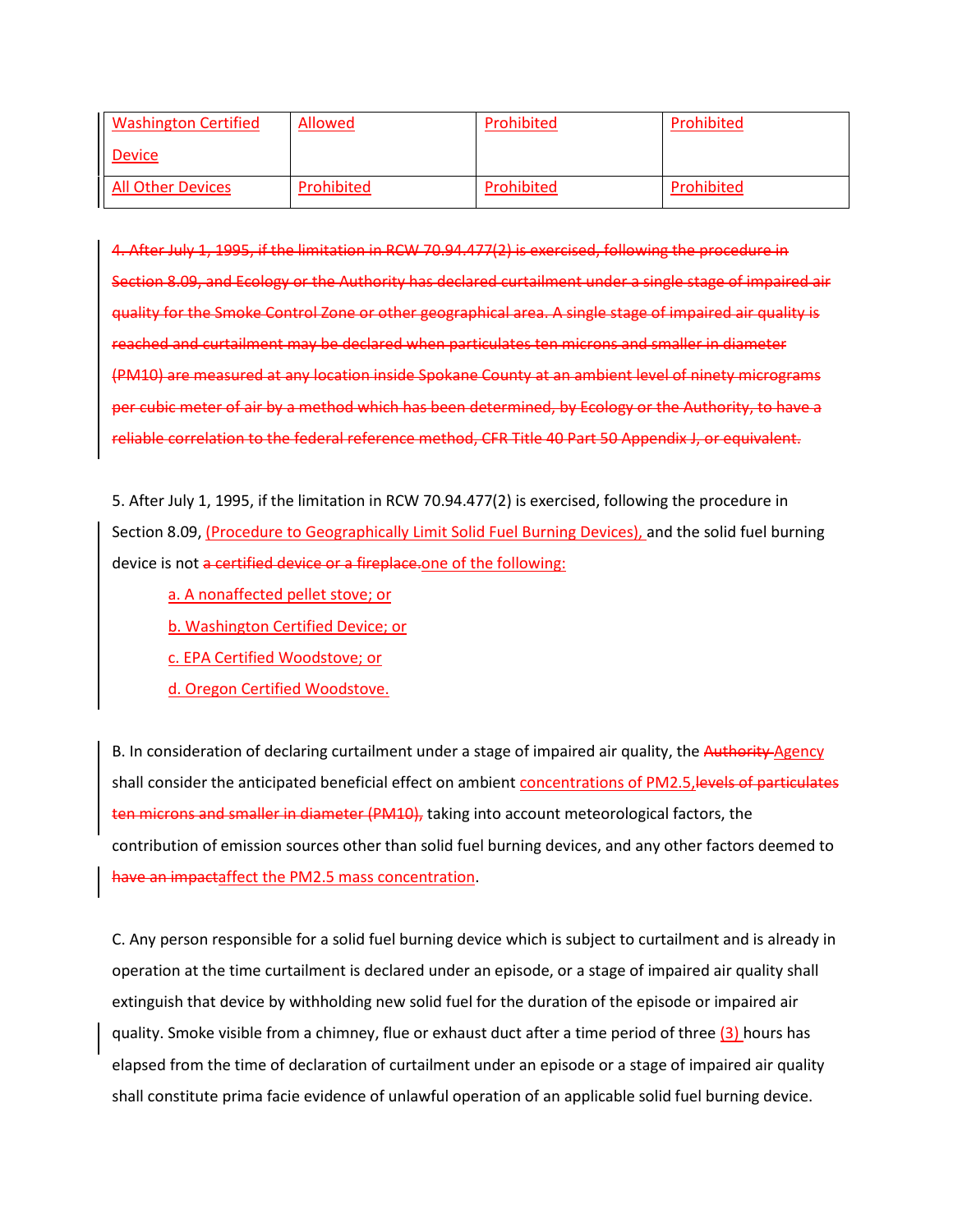| <b>Washington Certified</b> | Allowed    | Prohibited | Prohibited |
|-----------------------------|------------|------------|------------|
| <b>Device</b>               |            |            |            |
| <b>All Other Devices</b>    | Prohibited | Prohibited | Prohibited |

4. After July 1, 1995, if the limitation in RCW 70.94.477(2) is exercised, following the procedure in Section 8.09, and Ecology or the Authority has declared curtailment under a single stage of impaired air quality for the Smoke Control Zone or other geographical area. A single stage of impaired air quality is reached and curtailment may be declared when particulates ten microns and smaller in diameter (PM10) are measured at any location inside Spokane County at an ambient level of ninety micrograms per cubic meter of air by a method which has been determined, by Ecology or the Authority, to have a reliable correlation to the federal reference method, CFR Title 40 Part 50 Appendix J, or equivalent.

5. After July 1, 1995, if the limitation in RCW 70.94.477(2) is exercised, following the procedure in Section 8.09, (Procedure to Geographically Limit Solid Fuel Burning Devices), and the solid fuel burning device is not a certified device or a fireplace.one of the following:

a. A nonaffected pellet stove; or

b. Washington Certified Device; or

c. EPA Certified Woodstove; or

d. Oregon Certified Woodstove.

B. In consideration of declaring curtailment under a stage of impaired air quality, the Authority Agency shall consider the anticipated beneficial effect on ambient concentrations of PM2.5, levels of particulates ten microns and smaller in diameter (PM10), taking into account meteorological factors, the contribution of emission sources other than solid fuel burning devices, and any other factors deemed to have an impactaffect the PM2.5 mass concentration.

C. Any person responsible for a solid fuel burning device which is subject to curtailment and is already in operation at the time curtailment is declared under an episode, or a stage of impaired air quality shall extinguish that device by withholding new solid fuel for the duration of the episode or impaired air quality. Smoke visible from a chimney, flue or exhaust duct after a time period of three (3) hours has elapsed from the time of declaration of curtailment under an episode or a stage of impaired air quality shall constitute prima facie evidence of unlawful operation of an applicable solid fuel burning device.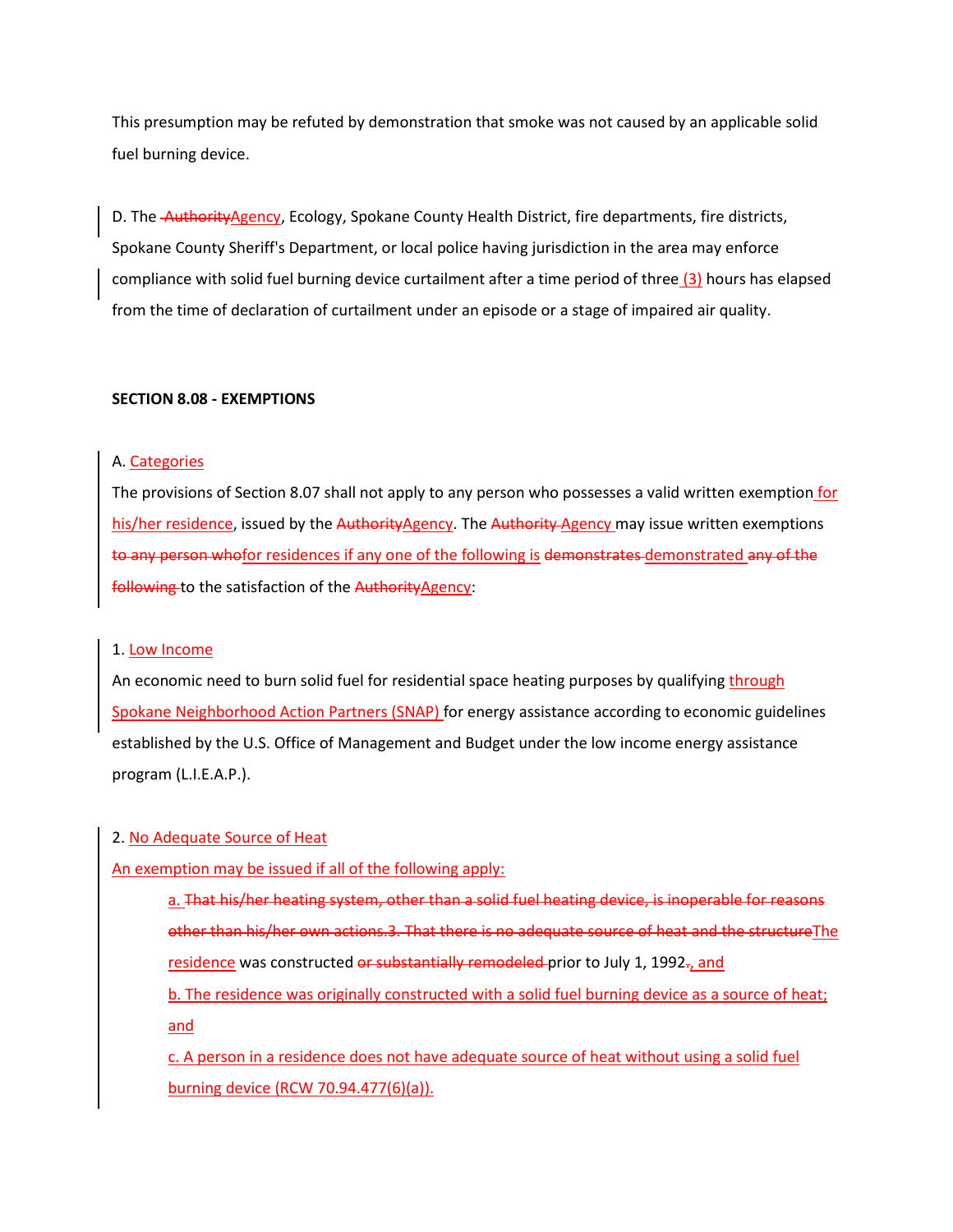This presumption may be refuted by demonstration that smoke was not caused by an applicable solid fuel burning device.

D. The AuthorityAgency, Ecology, Spokane County Health District, fire departments, fire districts, Spokane County Sheriff's Department, or local police having jurisdiction in the area may enforce compliance with solid fuel burning device curtailment after a time period of three  $(3)$  hours has elapsed from the time of declaration of curtailment under an episode or a stage of impaired air quality.

#### **SECTION 8.08 - EXEMPTIONS**

#### A. Categories

The provisions of Section 8.07 shall not apply to any person who possesses a valid written exemption for his/her residence, issued by the AuthorityAgency. The Authority Agency may issue written exemptions to any person whofor residences if any one of the following is demonstrates demonstrated any of the following to the satisfaction of the AuthorityAgency:

#### 1. Low Income

An economic need to burn solid fuel for residential space heating purposes by qualifying through Spokane Neighborhood Action Partners (SNAP) for energy assistance according to economic guidelines established by the U.S. Office of Management and Budget under the low income energy assistance program (L.I.E.A.P.).

#### 2. No Adequate Source of Heat

An exemption may be issued if all of the following apply:

a. That his/her heating system, other than a solid fuel heating device, is inoperable for reasons other than his/her own actions.3. That there is no adequate source of heat and the structureThe residence was constructed or substantially remodeled prior to July 1, 1992., and

b. The residence was originally constructed with a solid fuel burning device as a source of heat; and

c. A person in a residence does not have adequate source of heat without using a solid fuel burning device (RCW 70.94.477(6)(a)).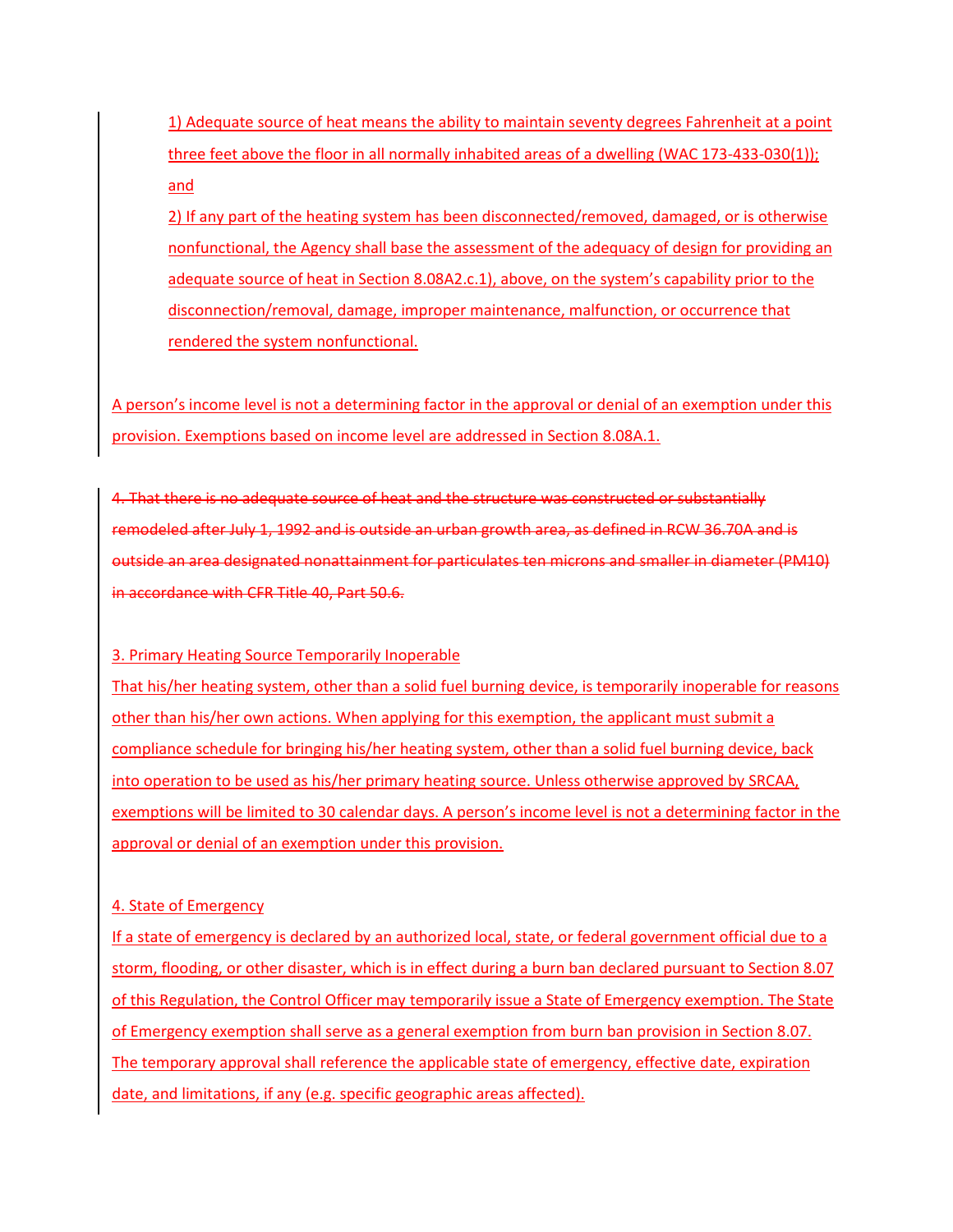1) Adequate source of heat means the ability to maintain seventy degrees Fahrenheit at a point three feet above the floor in all normally inhabited areas of a dwelling (WAC 173-433-030(1)); and

2) If any part of the heating system has been disconnected/removed, damaged, or is otherwise nonfunctional, the Agency shall base the assessment of the adequacy of design for providing an adequate source of heat in Section 8.08A2.c.1), above, on the system's capability prior to the disconnection/removal, damage, improper maintenance, malfunction, or occurrence that rendered the system nonfunctional.

A person's income level is not a determining factor in the approval or denial of an exemption under this provision. Exemptions based on income level are addressed in Section 8.08A.1.

4. That there is no adequate source of heat and the structure was constructed or substantially remodeled after July 1, 1992 and is outside an urban growth area, as defined in RCW 36.70A and is outside an area designated nonattainment for particulates ten microns and smaller in diameter (PM10) in accordance with CFR Title 40, Part 50.6.

### 3. Primary Heating Source Temporarily Inoperable

That his/her heating system, other than a solid fuel burning device, is temporarily inoperable for reasons other than his/her own actions. When applying for this exemption, the applicant must submit a compliance schedule for bringing his/her heating system, other than a solid fuel burning device, back into operation to be used as his/her primary heating source. Unless otherwise approved by SRCAA, exemptions will be limited to 30 calendar days. A person's income level is not a determining factor in the approval or denial of an exemption under this provision.

### 4. State of Emergency

If a state of emergency is declared by an authorized local, state, or federal government official due to a storm, flooding, or other disaster, which is in effect during a burn ban declared pursuant to Section 8.07 of this Regulation, the Control Officer may temporarily issue a State of Emergency exemption. The State of Emergency exemption shall serve as a general exemption from burn ban provision in Section 8.07. The temporary approval shall reference the applicable state of emergency, effective date, expiration date, and limitations, if any (e.g. specific geographic areas affected).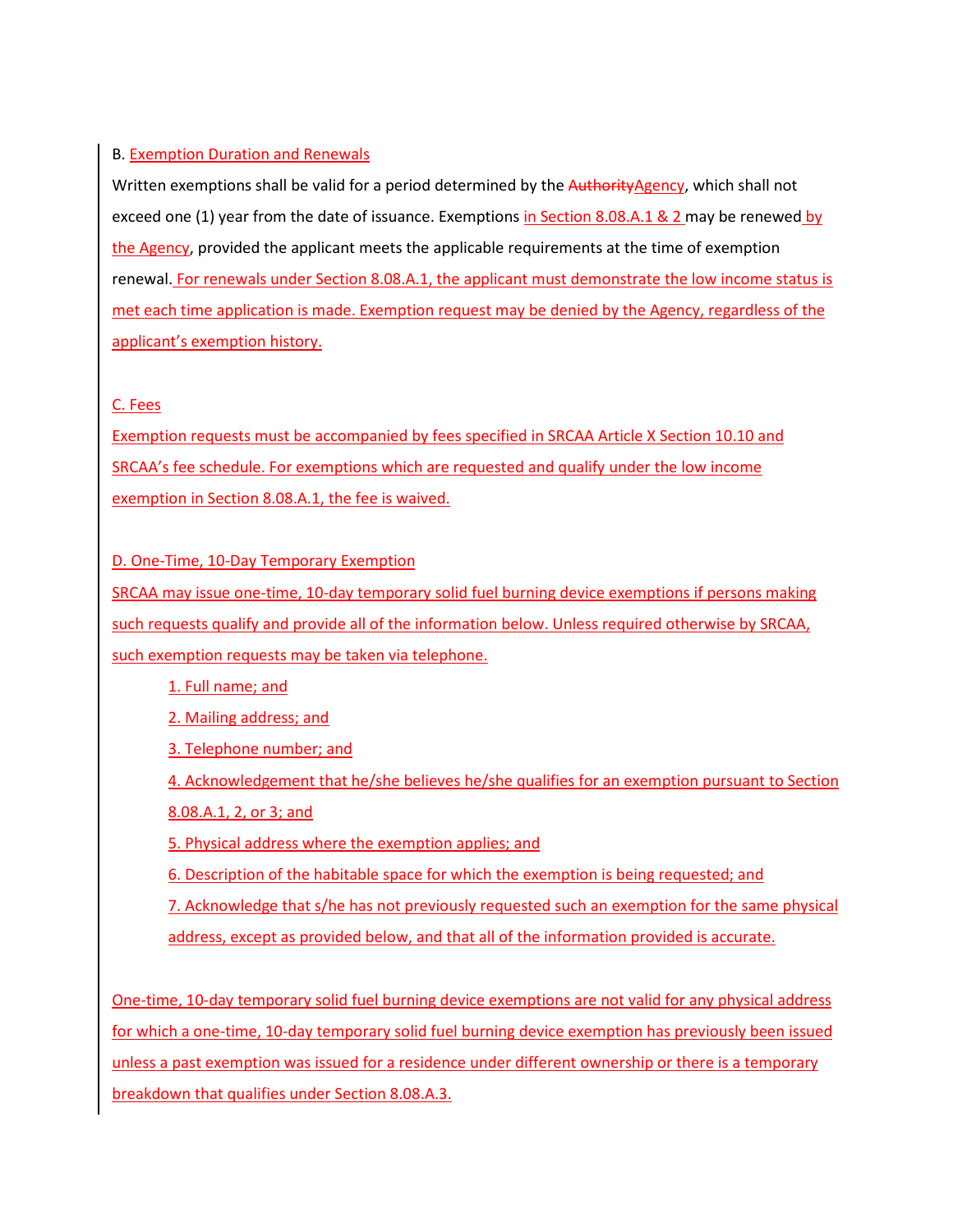### B. Exemption Duration and Renewals

Written exemptions shall be valid for a period determined by the AuthorityAgency, which shall not exceed one (1) year from the date of issuance. Exemptions in Section 8.08.A.1 & 2 may be renewed by the Agency, provided the applicant meets the applicable requirements at the time of exemption renewal. For renewals under Section 8.08.A.1, the applicant must demonstrate the low income status is met each time application is made. Exemption request may be denied by the Agency, regardless of the applicant's exemption history.

### C. Fees

Exemption requests must be accompanied by fees specified in SRCAA Article X Section 10.10 and SRCAA's fee schedule. For exemptions which are requested and qualify under the low income exemption in Section 8.08.A.1, the fee is waived.

### D. One-Time, 10-Day Temporary Exemption

SRCAA may issue one-time, 10-day temporary solid fuel burning device exemptions if persons making such requests qualify and provide all of the information below. Unless required otherwise by SRCAA, such exemption requests may be taken via telephone.

1. Full name; and

2. Mailing address; and

3. Telephone number; and

4. Acknowledgement that he/she believes he/she qualifies for an exemption pursuant to Section 8.08.A.1, 2, or 3; and

5. Physical address where the exemption applies; and

6. Description of the habitable space for which the exemption is being requested; and

7. Acknowledge that s/he has not previously requested such an exemption for the same physical address, except as provided below, and that all of the information provided is accurate.

One-time, 10-day temporary solid fuel burning device exemptions are not valid for any physical address for which a one-time, 10-day temporary solid fuel burning device exemption has previously been issued unless a past exemption was issued for a residence under different ownership or there is a temporary breakdown that qualifies under Section 8.08.A.3.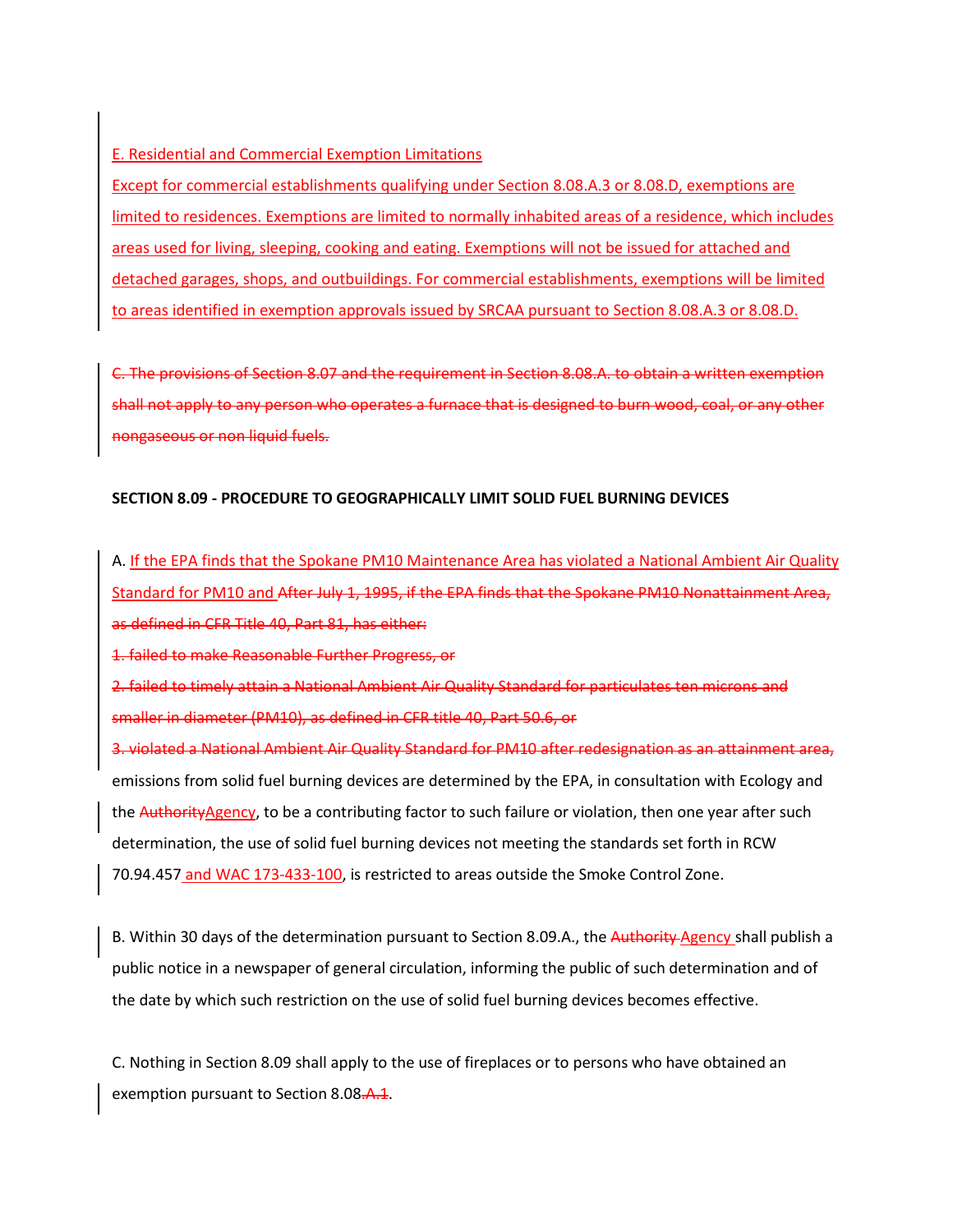E. Residential and Commercial Exemption Limitations

Except for commercial establishments qualifying under Section 8.08.A.3 or 8.08.D, exemptions are limited to residences. Exemptions are limited to normally inhabited areas of a residence, which includes areas used for living, sleeping, cooking and eating. Exemptions will not be issued for attached and detached garages, shops, and outbuildings. For commercial establishments, exemptions will be limited to areas identified in exemption approvals issued by SRCAA pursuant to Section 8.08.A.3 or 8.08.D.

C. The provisions of Section 8.07 and the requirement in Section 8.08.A. to obtain a written exemption shall not apply to any person who operates a furnace that is designed to burn wood, coal, or any other nongaseous or non liquid fuels.

### **SECTION 8.09 - PROCEDURE TO GEOGRAPHICALLY LIMIT SOLID FUEL BURNING DEVICES**

A. If the EPA finds that the Spokane PM10 Maintenance Area has violated a National Ambient Air Quality Standard for PM10 and After July 1, 1995, if the EPA finds that the Spokane PM10 Nonattainment Area, as defined in CFR Title 40, Part 81, has either:

1. failed to make Reasonable Further Progress, or

2. failed to timely attain a National Ambient Air Quality Standard for particulates ten microns and smaller in diameter (PM10), as defined in CFR title 40, Part 50.6, or

3. violated a National Ambient Air Quality Standard for PM10 after redesignation as an attainment area, emissions from solid fuel burning devices are determined by the EPA, in consultation with Ecology and the Authority Agency, to be a contributing factor to such failure or violation, then one year after such determination, the use of solid fuel burning devices not meeting the standards set forth in RCW 70.94.457 and WAC 173-433-100, is restricted to areas outside the Smoke Control Zone.

B. Within 30 days of the determination pursuant to Section 8.09.A., the Authority Agency shall publish a public notice in a newspaper of general circulation, informing the public of such determination and of the date by which such restriction on the use of solid fuel burning devices becomes effective.

C. Nothing in Section 8.09 shall apply to the use of fireplaces or to persons who have obtained an exemption pursuant to Section 8.08.A.1.